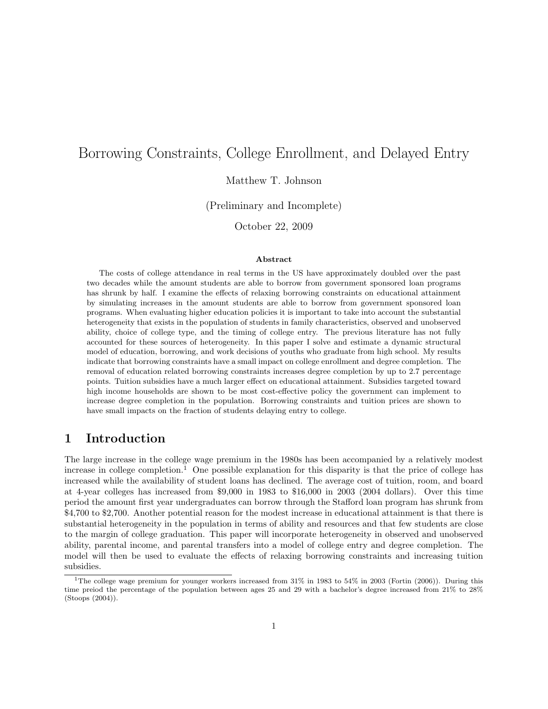# Borrowing Constraints, College Enrollment, and Delayed Entry

Matthew T. Johnson

(Preliminary and Incomplete)

October 22, 2009

#### Abstract

The costs of college attendance in real terms in the US have approximately doubled over the past two decades while the amount students are able to borrow from government sponsored loan programs has shrunk by half. I examine the effects of relaxing borrowing constraints on educational attainment by simulating increases in the amount students are able to borrow from government sponsored loan programs. When evaluating higher education policies it is important to take into account the substantial heterogeneity that exists in the population of students in family characteristics, observed and unobserved ability, choice of college type, and the timing of college entry. The previous literature has not fully accounted for these sources of heterogeneity. In this paper I solve and estimate a dynamic structural model of education, borrowing, and work decisions of youths who graduate from high school. My results indicate that borrowing constraints have a small impact on college enrollment and degree completion. The removal of education related borrowing constraints increases degree completion by up to 2.7 percentage points. Tuition subsidies have a much larger effect on educational attainment. Subsidies targeted toward high income households are shown to be most cost-effective policy the government can implement to increase degree completion in the population. Borrowing constraints and tuition prices are shown to have small impacts on the fraction of students delaying entry to college.

## 1 Introduction

The large increase in the college wage premium in the 1980s has been accompanied by a relatively modest increase in college completion.<sup>1</sup> One possible explanation for this disparity is that the price of college has increased while the availability of student loans has declined. The average cost of tuition, room, and board at 4-year colleges has increased from \$9,000 in 1983 to \$16,000 in 2003 (2004 dollars). Over this time period the amount first year undergraduates can borrow through the Stafford loan program has shrunk from \$4,700 to \$2,700. Another potential reason for the modest increase in educational attainment is that there is substantial heterogeneity in the population in terms of ability and resources and that few students are close to the margin of college graduation. This paper will incorporate heterogeneity in observed and unobserved ability, parental income, and parental transfers into a model of college entry and degree completion. The model will then be used to evaluate the effects of relaxing borrowing constraints and increasing tuition subsidies.

<sup>&</sup>lt;sup>1</sup>The college wage premium for younger workers increased from  $31\%$  in 1983 to  $54\%$  in 2003 (Fortin (2006)). During this time preiod the percentage of the population between ages 25 and 29 with a bachelor's degree increased from 21% to 28% (Stoops (2004)).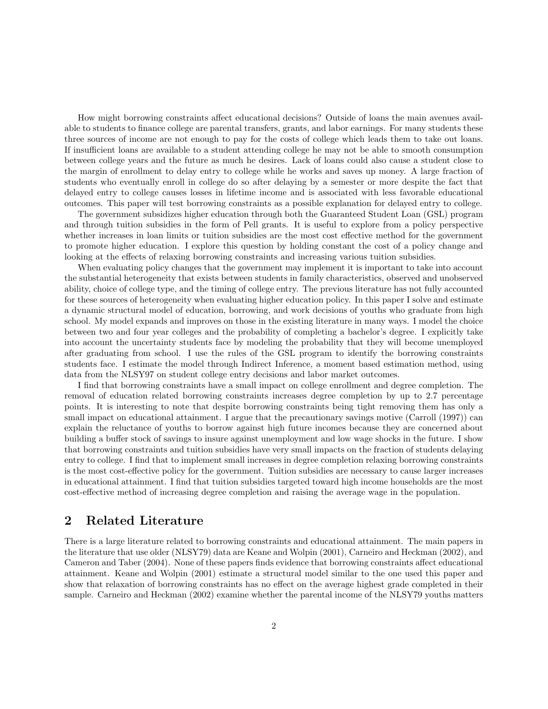How might borrowing constraints affect educational decisions? Outside of loans the main avenues available to students to finance college are parental transfers, grants, and labor earnings. For many students these three sources of income are not enough to pay for the costs of college which leads them to take out loans. If insufficient loans are available to a student attending college he may not be able to smooth consumption between college years and the future as much he desires. Lack of loans could also cause a student close to the margin of enrollment to delay entry to college while he works and saves up money. A large fraction of students who eventually enroll in college do so after delaying by a semester or more despite the fact that delayed entry to college causes losses in lifetime income and is associated with less favorable educational outcomes. This paper will test borrowing constraints as a possible explanation for delayed entry to college.

The government subsidizes higher education through both the Guaranteed Student Loan (GSL) program and through tuition subsidies in the form of Pell grants. It is useful to explore from a policy perspective whether increases in loan limits or tuition subsidies are the most cost effective method for the government to promote higher education. I explore this question by holding constant the cost of a policy change and looking at the effects of relaxing borrowing constraints and increasing various tuition subsidies.

When evaluating policy changes that the government may implement it is important to take into account the substantial heterogeneity that exists between students in family characteristics, observed and unobserved ability, choice of college type, and the timing of college entry. The previous literature has not fully accounted for these sources of heterogeneity when evaluating higher education policy. In this paper I solve and estimate a dynamic structural model of education, borrowing, and work decisions of youths who graduate from high school. My model expands and improves on those in the existing literature in many ways. I model the choice between two and four year colleges and the probability of completing a bachelor's degree. I explicitly take into account the uncertainty students face by modeling the probability that they will become unemployed after graduating from school. I use the rules of the GSL program to identify the borrowing constraints students face. I estimate the model through Indirect Inference, a moment based estimation method, using data from the NLSY97 on student college entry decisions and labor market outcomes.

I find that borrowing constraints have a small impact on college enrollment and degree completion. The removal of education related borrowing constraints increases degree completion by up to 2.7 percentage points. It is interesting to note that despite borrowing constraints being tight removing them has only a small impact on educational attainment. I argue that the precautionary savings motive (Carroll (1997)) can explain the reluctance of youths to borrow against high future incomes because they are concerned about building a buffer stock of savings to insure against unemployment and low wage shocks in the future. I show that borrowing constraints and tuition subsidies have very small impacts on the fraction of students delaying entry to college. I find that to implement small increases in degree completion relaxing borrowing constraints is the most cost-effective policy for the government. Tuition subsidies are necessary to cause larger increases in educational attainment. I find that tuition subsidies targeted toward high income households are the most cost-effective method of increasing degree completion and raising the average wage in the population.

## 2 Related Literature

There is a large literature related to borrowing constraints and educational attainment. The main papers in the literature that use older (NLSY79) data are Keane and Wolpin (2001), Carneiro and Heckman (2002), and Cameron and Taber (2004). None of these papers finds evidence that borrowing constraints affect educational attainment. Keane and Wolpin (2001) estimate a structural model similar to the one used this paper and show that relaxation of borrowing constraints has no effect on the average highest grade completed in their sample. Carneiro and Heckman (2002) examine whether the parental income of the NLSY79 youths matters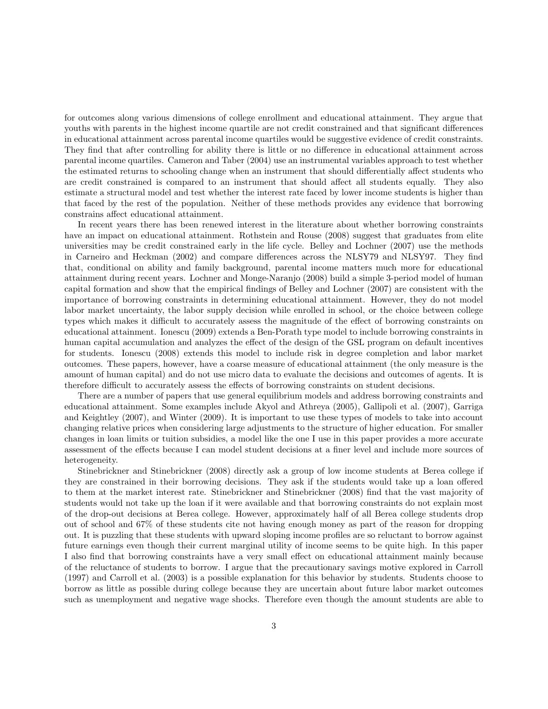for outcomes along various dimensions of college enrollment and educational attainment. They argue that youths with parents in the highest income quartile are not credit constrained and that significant differences in educational attainment across parental income quartiles would be suggestive evidence of credit constraints. They find that after controlling for ability there is little or no difference in educational attainment across parental income quartiles. Cameron and Taber (2004) use an instrumental variables approach to test whether the estimated returns to schooling change when an instrument that should differentially affect students who are credit constrained is compared to an instrument that should affect all students equally. They also estimate a structural model and test whether the interest rate faced by lower income students is higher than that faced by the rest of the population. Neither of these methods provides any evidence that borrowing constrains affect educational attainment.

In recent years there has been renewed interest in the literature about whether borrowing constraints have an impact on educational attainment. Rothstein and Rouse (2008) suggest that graduates from elite universities may be credit constrained early in the life cycle. Belley and Lochner (2007) use the methods in Carneiro and Heckman (2002) and compare differences across the NLSY79 and NLSY97. They find that, conditional on ability and family background, parental income matters much more for educational attainment during recent years. Lochner and Monge-Naranjo (2008) build a simple 3-period model of human capital formation and show that the empirical findings of Belley and Lochner (2007) are consistent with the importance of borrowing constraints in determining educational attainment. However, they do not model labor market uncertainty, the labor supply decision while enrolled in school, or the choice between college types which makes it difficult to accurately assess the magnitude of the effect of borrowing constraints on educational attainment. Ionescu (2009) extends a Ben-Porath type model to include borrowing constraints in human capital accumulation and analyzes the effect of the design of the GSL program on default incentives for students. Ionescu (2008) extends this model to include risk in degree completion and labor market outcomes. These papers, however, have a coarse measure of educational attainment (the only measure is the amount of human capital) and do not use micro data to evaluate the decisions and outcomes of agents. It is therefore difficult to accurately assess the effects of borrowing constraints on student decisions.

There are a number of papers that use general equilibrium models and address borrowing constraints and educational attainment. Some examples include Akyol and Athreya (2005), Gallipoli et al. (2007), Garriga and Keightley (2007), and Winter (2009). It is important to use these types of models to take into account changing relative prices when considering large adjustments to the structure of higher education. For smaller changes in loan limits or tuition subsidies, a model like the one I use in this paper provides a more accurate assessment of the effects because I can model student decisions at a finer level and include more sources of heterogeneity.

Stinebrickner and Stinebrickner (2008) directly ask a group of low income students at Berea college if they are constrained in their borrowing decisions. They ask if the students would take up a loan offered to them at the market interest rate. Stinebrickner and Stinebrickner (2008) find that the vast majority of students would not take up the loan if it were available and that borrowing constraints do not explain most of the drop-out decisions at Berea college. However, approximately half of all Berea college students drop out of school and 67% of these students cite not having enough money as part of the reason for dropping out. It is puzzling that these students with upward sloping income profiles are so reluctant to borrow against future earnings even though their current marginal utility of income seems to be quite high. In this paper I also find that borrowing constraints have a very small effect on educational attainment mainly because of the reluctance of students to borrow. I argue that the precautionary savings motive explored in Carroll (1997) and Carroll et al. (2003) is a possible explanation for this behavior by students. Students choose to borrow as little as possible during college because they are uncertain about future labor market outcomes such as unemployment and negative wage shocks. Therefore even though the amount students are able to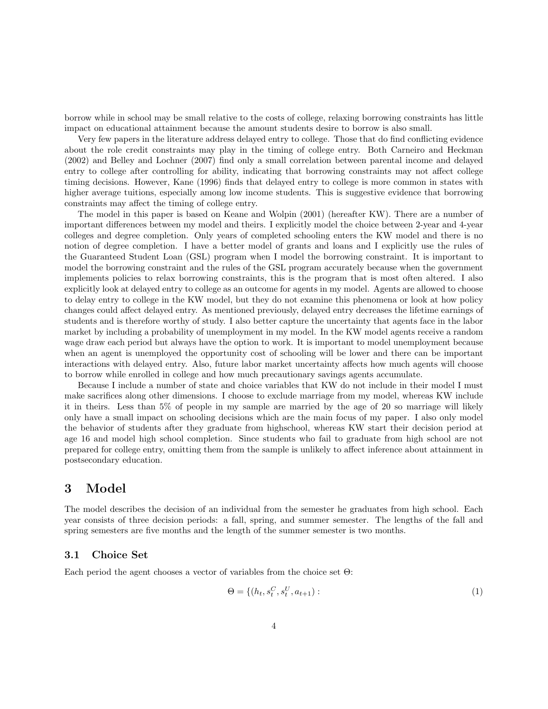borrow while in school may be small relative to the costs of college, relaxing borrowing constraints has little impact on educational attainment because the amount students desire to borrow is also small.

Very few papers in the literature address delayed entry to college. Those that do find conflicting evidence about the role credit constraints may play in the timing of college entry. Both Carneiro and Heckman (2002) and Belley and Lochner (2007) find only a small correlation between parental income and delayed entry to college after controlling for ability, indicating that borrowing constraints may not affect college timing decisions. However, Kane (1996) finds that delayed entry to college is more common in states with higher average tuitions, especially among low income students. This is suggestive evidence that borrowing constraints may affect the timing of college entry.

The model in this paper is based on Keane and Wolpin (2001) (hereafter KW). There are a number of important differences between my model and theirs. I explicitly model the choice between 2-year and 4-year colleges and degree completion. Only years of completed schooling enters the KW model and there is no notion of degree completion. I have a better model of grants and loans and I explicitly use the rules of the Guaranteed Student Loan (GSL) program when I model the borrowing constraint. It is important to model the borrowing constraint and the rules of the GSL program accurately because when the government implements policies to relax borrowing constraints, this is the program that is most often altered. I also explicitly look at delayed entry to college as an outcome for agents in my model. Agents are allowed to choose to delay entry to college in the KW model, but they do not examine this phenomena or look at how policy changes could affect delayed entry. As mentioned previously, delayed entry decreases the lifetime earnings of students and is therefore worthy of study. I also better capture the uncertainty that agents face in the labor market by including a probability of unemployment in my model. In the KW model agents receive a random wage draw each period but always have the option to work. It is important to model unemployment because when an agent is unemployed the opportunity cost of schooling will be lower and there can be important interactions with delayed entry. Also, future labor market uncertainty affects how much agents will choose to borrow while enrolled in college and how much precautionary savings agents accumulate.

Because I include a number of state and choice variables that KW do not include in their model I must make sacrifices along other dimensions. I choose to exclude marriage from my model, whereas KW include it in theirs. Less than 5% of people in my sample are married by the age of 20 so marriage will likely only have a small impact on schooling decisions which are the main focus of my paper. I also only model the behavior of students after they graduate from highschool, whereas KW start their decision period at age 16 and model high school completion. Since students who fail to graduate from high school are not prepared for college entry, omitting them from the sample is unlikely to affect inference about attainment in postsecondary education.

## 3 Model

The model describes the decision of an individual from the semester he graduates from high school. Each year consists of three decision periods: a fall, spring, and summer semester. The lengths of the fall and spring semesters are five months and the length of the summer semester is two months.

#### 3.1 Choice Set

Each period the agent chooses a vector of variables from the choice set  $\Theta$ :

$$
\Theta = \{ (h_t, s_t^C, s_t^U, a_{t+1}) : \tag{1}
$$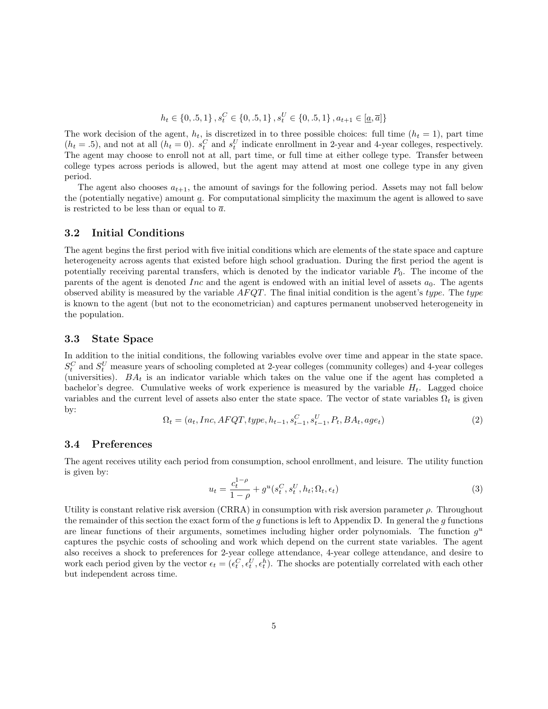$$
h_{t} \in \{0, .5, 1\}, s_{t}^{C} \in \{0, .5, 1\}, s_{t}^{U} \in \{0, .5, 1\}, a_{t+1} \in [\underline{a}, \overline{a}]\}
$$

The work decision of the agent,  $h_t$ , is discretized in to three possible choices: full time  $(h_t = 1)$ , part time  $(h_t = .5)$ , and not at all  $(h_t = 0)$ .  $s_t^C$  and  $s_t^U$  indicate enrollment in 2-year and 4-year colleges, respectively. The agent may choose to enroll not at all, part time, or full time at either college type. Transfer between college types across periods is allowed, but the agent may attend at most one college type in any given period.

The agent also chooses  $a_{t+1}$ , the amount of savings for the following period. Assets may not fall below the (potentially negative) amount  $a$ . For computational simplicity the maximum the agent is allowed to save is restricted to be less than or equal to  $\bar{a}$ .

#### 3.2 Initial Conditions

The agent begins the first period with five initial conditions which are elements of the state space and capture heterogeneity across agents that existed before high school graduation. During the first period the agent is potentially receiving parental transfers, which is denoted by the indicator variable  $P_0$ . The income of the parents of the agent is denoted Inc and the agent is endowed with an initial level of assets  $a_0$ . The agents observed ability is measured by the variable  $AFQT$ . The final initial condition is the agent's type. The type is known to the agent (but not to the econometrician) and captures permanent unobserved heterogeneity in the population.

#### 3.3 State Space

In addition to the initial conditions, the following variables evolve over time and appear in the state space.  $S_t^C$  and  $S_t^U$  measure years of schooling completed at 2-year colleges (community colleges) and 4-year colleges (universities).  $BA_t$  is an indicator variable which takes on the value one if the agent has completed a bachelor's degree. Cumulative weeks of work experience is measured by the variable  $H_t$ . Lagged choice variables and the current level of assets also enter the state space. The vector of state variables  $\Omega_t$  is given by:

$$
\Omega_t = (a_t, Inc, AFGT, type, h_{t-1}, s_{t-1}^C, s_{t-1}^U, P_t, BA_t, age_t)
$$
\n(2)

#### 3.4 Preferences

The agent receives utility each period from consumption, school enrollment, and leisure. The utility function is given by:

$$
u_t = \frac{c_t^{1-\rho}}{1-\rho} + g^u(s_t^C, s_t^U, h_t; \Omega_t, \epsilon_t)
$$
\n
$$
(3)
$$

Utility is constant relative risk aversion (CRRA) in consumption with risk aversion parameter  $\rho$ . Throughout the remainder of this section the exact form of the  $g$  functions is left to Appendix D. In general the  $g$  functions are linear functions of their arguments, sometimes including higher order polynomials. The function  $g^u$ captures the psychic costs of schooling and work which depend on the current state variables. The agent also receives a shock to preferences for 2-year college attendance, 4-year college attendance, and desire to work each period given by the vector  $\epsilon_t = (\epsilon_t^C, \epsilon_t^U, \epsilon_t^h)$ . The shocks are potentially correlated with each other but independent across time.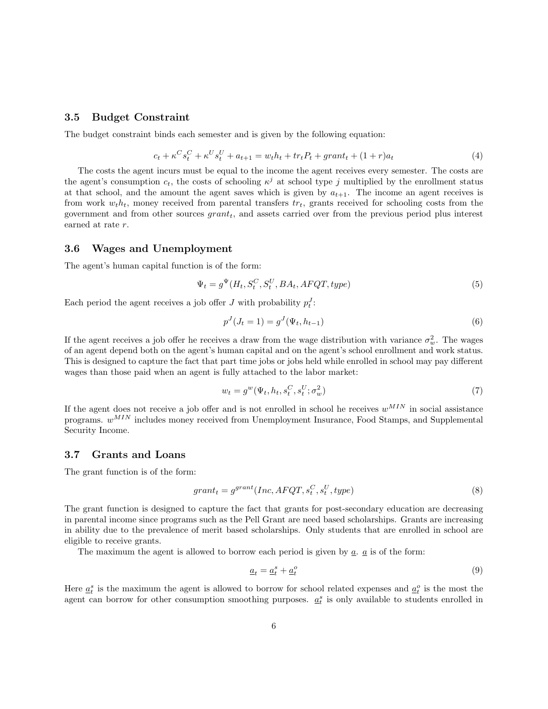#### 3.5 Budget Constraint

The budget constraint binds each semester and is given by the following equation:

$$
c_{t} + \kappa^{C} s_{t}^{C} + \kappa^{U} s_{t}^{U} + a_{t+1} = w_{t} h_{t} + tr_{t} P_{t} + grant_{t} + (1+r)a_{t}
$$
\n
$$
\tag{4}
$$

The costs the agent incurs must be equal to the income the agent receives every semester. The costs are the agent's consumption  $c_t$ , the costs of schooling  $\kappa^j$  at school type j multiplied by the enrollment status at that school, and the amount the agent saves which is given by  $a_{t+1}$ . The income an agent receives is from work  $w_t h_t$ , money received from parental transfers  $tr_t$ , grants received for schooling costs from the government and from other sources  $grant_t$ , and assets carried over from the previous period plus interest earned at rate r.

#### 3.6 Wages and Unemployment

The agent's human capital function is of the form:

$$
\Psi_t = g^{\Psi}(H_t, S_t^C, S_t^U, BA_t, AFQT, type) \tag{5}
$$

Each period the agent receives a job offer  $J$  with probability  $p_t^J$ :

$$
p^{J}(J_t = 1) = g^{J}(\Psi_t, h_{t-1})
$$
\n(6)

If the agent receives a job offer he receives a draw from the wage distribution with variance  $\sigma_w^2$ . The wages of an agent depend both on the agent's human capital and on the agent's school enrollment and work status. This is designed to capture the fact that part time jobs or jobs held while enrolled in school may pay different wages than those paid when an agent is fully attached to the labor market:

$$
w_t = g^w(\Psi_t, h_t, s_t^C, s_t^U; \sigma_w^2)
$$
\n<sup>(7)</sup>

If the agent does not receive a job offer and is not enrolled in school he receives  $w^{MIN}$  in social assistance programs.  $w^{MIN}$  includes money received from Unemployment Insurance, Food Stamps, and Supplemental Security Income.

#### 3.7 Grants and Loans

The grant function is of the form:

$$
grant_t = g^{grant}(Inc, AFQT, s_t^C, s_t^U, type)
$$
\n
$$
(8)
$$

The grant function is designed to capture the fact that grants for post-secondary education are decreasing in parental income since programs such as the Pell Grant are need based scholarships. Grants are increasing in ability due to the prevalence of merit based scholarships. Only students that are enrolled in school are eligible to receive grants.

The maximum the agent is allowed to borrow each period is given by  $\underline{a}$ .  $\underline{a}$  is of the form:

$$
\underline{a}_t = \underline{a}_t^s + \underline{a}_t^o \tag{9}
$$

Here  $\underline{a}_t^s$  is the maximum the agent is allowed to borrow for school related expenses and  $\underline{a}_t^o$  is the most the agent can borrow for other consumption smoothing purposes.  $\underline{a}_t^s$  is only available to students enrolled in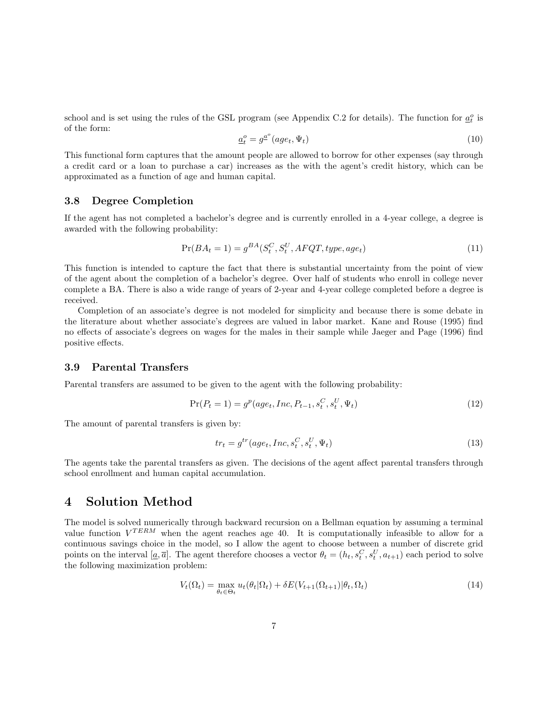school and is set using the rules of the GSL program (see Appendix C.2 for details). The function for  $\underline{a}^o_t$  is of the form:

$$
\underline{a}_t^o = g^{\underline{a}^o}(age_t, \Psi_t) \tag{10}
$$

This functional form captures that the amount people are allowed to borrow for other expenses (say through a credit card or a loan to purchase a car) increases as the with the agent's credit history, which can be approximated as a function of age and human capital.

### 3.8 Degree Completion

If the agent has not completed a bachelor's degree and is currently enrolled in a 4-year college, a degree is awarded with the following probability:

$$
Pr(BA_t = 1) = g^{BA}(S_t^C, S_t^U, AFQT, type, age_t)
$$
\n
$$
(11)
$$

This function is intended to capture the fact that there is substantial uncertainty from the point of view of the agent about the completion of a bachelor's degree. Over half of students who enroll in college never complete a BA. There is also a wide range of years of 2-year and 4-year college completed before a degree is received.

Completion of an associate's degree is not modeled for simplicity and because there is some debate in the literature about whether associate's degrees are valued in labor market. Kane and Rouse (1995) find no effects of associate's degrees on wages for the males in their sample while Jaeger and Page (1996) find positive effects.

#### 3.9 Parental Transfers

Parental transfers are assumed to be given to the agent with the following probability:

$$
Pr(P_t = 1) = g^p(age_t, Inc, P_{t-1}, s_t^C, s_t^U, \Psi_t)
$$
\n(12)

The amount of parental transfers is given by:

$$
tr_t = g^{tr}(age_t, Inc, s_t^C, s_t^U, \Psi_t)
$$
\n
$$
(13)
$$

The agents take the parental transfers as given. The decisions of the agent affect parental transfers through school enrollment and human capital accumulation.

### 4 Solution Method

The model is solved numerically through backward recursion on a Bellman equation by assuming a terminal value function  $V^{TERM}$  when the agent reaches age 40. It is computationally infeasible to allow for a continuous savings choice in the model, so I allow the agent to choose between a number of discrete grid points on the interval  $[\underline{a}, \overline{a}]$ . The agent therefore chooses a vector  $\theta_t = (h_t, s_t^C, s_t^U, a_{t+1})$  each period to solve the following maximization problem:

$$
V_t(\Omega_t) = \max_{\theta_t \in \Theta_t} u_t(\theta_t | \Omega_t) + \delta E(V_{t+1}(\Omega_{t+1}) | \theta_t, \Omega_t)
$$
\n(14)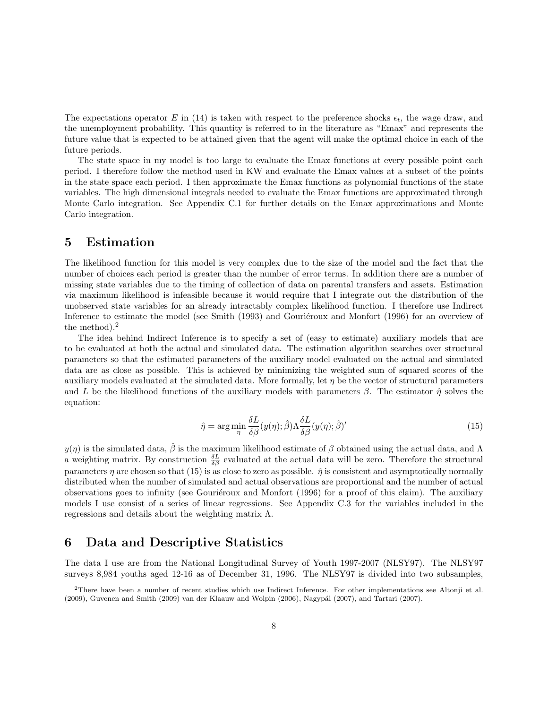The expectations operator E in (14) is taken with respect to the preference shocks  $\epsilon_t$ , the wage draw, and the unemployment probability. This quantity is referred to in the literature as "Emax" and represents the future value that is expected to be attained given that the agent will make the optimal choice in each of the future periods.

The state space in my model is too large to evaluate the Emax functions at every possible point each period. I therefore follow the method used in KW and evaluate the Emax values at a subset of the points in the state space each period. I then approximate the Emax functions as polynomial functions of the state variables. The high dimensional integrals needed to evaluate the Emax functions are approximated through Monte Carlo integration. See Appendix C.1 for further details on the Emax approximations and Monte Carlo integration.

### 5 Estimation

The likelihood function for this model is very complex due to the size of the model and the fact that the number of choices each period is greater than the number of error terms. In addition there are a number of missing state variables due to the timing of collection of data on parental transfers and assets. Estimation via maximum likelihood is infeasible because it would require that I integrate out the distribution of the unobserved state variables for an already intractably complex likelihood function. I therefore use Indirect Inference to estimate the model (see Smith (1993) and Gouriéroux and Monfort (1996) for an overview of the method).<sup>2</sup>

The idea behind Indirect Inference is to specify a set of (easy to estimate) auxiliary models that are to be evaluated at both the actual and simulated data. The estimation algorithm searches over structural parameters so that the estimated parameters of the auxiliary model evaluated on the actual and simulated data are as close as possible. This is achieved by minimizing the weighted sum of squared scores of the auxiliary models evaluated at the simulated data. More formally, let  $\eta$  be the vector of structural parameters and L be the likelihood functions of the auxiliary models with parameters  $\beta$ . The estimator  $\hat{\eta}$  solves the equation:

$$
\hat{\eta} = \arg\min_{\eta} \frac{\delta L}{\delta \beta} (y(\eta); \hat{\beta}) \Lambda \frac{\delta L}{\delta \beta} (y(\eta); \hat{\beta})'
$$
\n(15)

 $y(\eta)$  is the simulated data,  $\hat{\beta}$  is the maximum likelihood estimate of  $\beta$  obtained using the actual data, and  $\Lambda$ a weighting matrix. By construction  $\frac{\delta L}{\delta \beta}$  evaluated at the actual data will be zero. Therefore the structural parameters  $\eta$  are chosen so that (15) is as close to zero as possible.  $\hat{\eta}$  is consistent and asymptotically normally distributed when the number of simulated and actual observations are proportional and the number of actual observations goes to infinity (see Gouriéroux and Monfort (1996) for a proof of this claim). The auxiliary models I use consist of a series of linear regressions. See Appendix C.3 for the variables included in the regressions and details about the weighting matrix Λ.

### 6 Data and Descriptive Statistics

The data I use are from the National Longitudinal Survey of Youth 1997-2007 (NLSY97). The NLSY97 surveys 8,984 youths aged 12-16 as of December 31, 1996. The NLSY97 is divided into two subsamples,

<sup>2</sup>There have been a number of recent studies which use Indirect Inference. For other implementations see Altonji et al. (2009), Guvenen and Smith (2009) van der Klaauw and Wolpin (2006), Nagypál (2007), and Tartari (2007).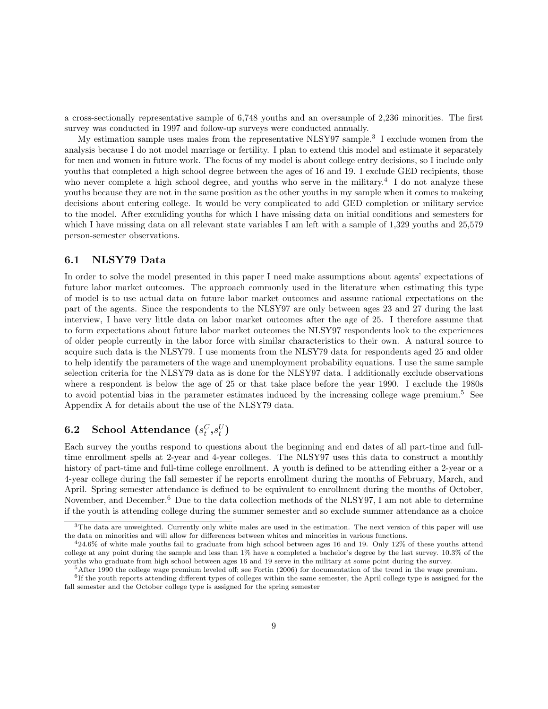a cross-sectionally representative sample of 6,748 youths and an oversample of 2,236 minorities. The first survey was conducted in 1997 and follow-up surveys were conducted annually.

My estimation sample uses males from the representative NLSY97 sample.<sup>3</sup> I exclude women from the analysis because I do not model marriage or fertility. I plan to extend this model and estimate it separately for men and women in future work. The focus of my model is about college entry decisions, so I include only youths that completed a high school degree between the ages of 16 and 19. I exclude GED recipients, those who never complete a high school degree, and youths who serve in the military.<sup>4</sup> I do not analyze these youths because they are not in the same position as the other youths in my sample when it comes to makeing decisions about entering college. It would be very complicated to add GED completion or military service to the model. After exculiding youths for which I have missing data on initial conditions and semesters for which I have missing data on all relevant state variables I am left with a sample of 1,329 youths and 25,579 person-semester observations.

#### 6.1 NLSY79 Data

In order to solve the model presented in this paper I need make assumptions about agents' expectations of future labor market outcomes. The approach commonly used in the literature when estimating this type of model is to use actual data on future labor market outcomes and assume rational expectations on the part of the agents. Since the respondents to the NLSY97 are only between ages 23 and 27 during the last interview, I have very little data on labor market outcomes after the age of 25. I therefore assume that to form expectations about future labor market outcomes the NLSY97 respondents look to the experiences of older people currently in the labor force with similar characteristics to their own. A natural source to acquire such data is the NLSY79. I use moments from the NLSY79 data for respondents aged 25 and older to help identify the parameters of the wage and unemployment probability equations. I use the same sample selection criteria for the NLSY79 data as is done for the NLSY97 data. I additionally exclude observations where a respondent is below the age of 25 or that take place before the year 1990. I exclude the 1980s to avoid potential bias in the parameter estimates induced by the increasing college wage premium.<sup>5</sup> See Appendix A for details about the use of the NLSY79 data.

# $\textbf{6.2}\quad \textbf{School} \,\, \textbf{Attendance}\,\, (s_t^C, s_t^U)$

Each survey the youths respond to questions about the beginning and end dates of all part-time and fulltime enrollment spells at 2-year and 4-year colleges. The NLSY97 uses this data to construct a monthly history of part-time and full-time college enrollment. A youth is defined to be attending either a 2-year or a 4-year college during the fall semester if he reports enrollment during the months of February, March, and April. Spring semester attendance is defined to be equivalent to enrollment during the months of October, November, and December.<sup>6</sup> Due to the data collection methods of the NLSY97, I am not able to determine if the youth is attending college during the summer semester and so exclude summer attendance as a choice

 $3$ The data are unweighted. Currently only white males are used in the estimation. The next version of this paper will use the data on minorities and will allow for differences between whites and minorities in various functions.

 $424.6\%$  of white male youths fail to graduate from high school between ages 16 and 19. Only 12% of these youths attend college at any point during the sample and less than 1% have a completed a bachelor's degree by the last survey. 10.3% of the youths who graduate from high school between ages 16 and 19 serve in the military at some point during the survey.

<sup>5</sup>After 1990 the college wage premium leveled off; see Fortin (2006) for documentation of the trend in the wage premium.

<sup>&</sup>lt;sup>6</sup>If the youth reports attending different types of colleges within the same semester, the April college type is assigned for the fall semester and the October college type is assigned for the spring semester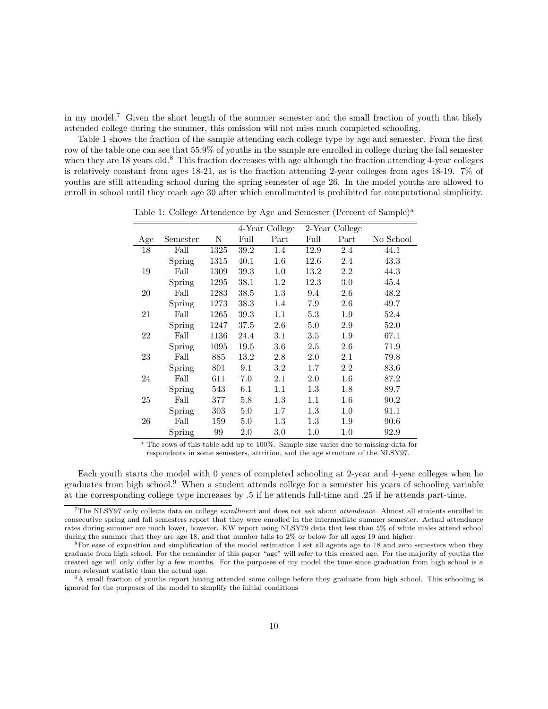in my model.<sup>7</sup> Given the short length of the summer semester and the small fraction of youth that likely attended college during the summer, this omission will not miss much completed schooling.

Table 1 shows the fraction of the sample attending each college type by age and semester. From the first row of the table one can see that 55.9% of youths in the sample are enrolled in college during the fall semester when they are 18 years old.<sup>8</sup> This fraction decreases with age although the fraction attending 4-year colleges is relatively constant from ages 18-21, as is the fraction attending 2-year colleges from ages 18-19. 7% of youths are still attending school during the spring semester of age 26. In the model youths are allowed to enroll in school until they reach age 30 after which enrollmented is prohibited for computational simplicity.

|     |          |      | 4-Year College |         |         | 2-Year College |           |
|-----|----------|------|----------------|---------|---------|----------------|-----------|
| Age | Semester | Ν    | Full           | Part    | Full    | Part           | No School |
| 18  | Fall     | 1325 | 39.2           | 1.4     | 12.9    | 2.4            | 44.1      |
|     | Spring   | 1315 | 40.1           | $1.6\,$ | 12.6    | 2.4            | 43.3      |
| 19  | Fall     | 1309 | 39.3           | $1.0\,$ | 13.2    | 2.2            | 44.3      |
|     | Spring   | 1295 | 38.1           | $1.2\,$ | 12.3    | 3.0            | 45.4      |
| 20  | Fall     | 1283 | $38.5\,$       | $1.3\,$ | 9.4     | $2.6\,$        | 48.2      |
|     | Spring   | 1273 | 38.3           | 1.4     | 7.9     | 2.6            | 49.7      |
| 21  | Fall     | 1265 | 39.3           | 1.1     | 5.3     | $1.9\,$        | 52.4      |
|     | Spring   | 1247 | 37.5           | 2.6     | 5.0     | 2.9            | 52.0      |
| 22  | Fall     | 1136 | 24.4           | 3.1     | 3.5     | 1.9            | 67.1      |
|     | Spring   | 1095 | 19.5           | 3.6     | 2.5     | 2.6            | 71.9      |
| 23  | Fall     | 885  | 13.2           | 2.8     | 2.0     | 2.1            | 79.8      |
|     | Spring   | 801  | 9.1            | 3.2     | $1.7\,$ | 2.2            | 83.6      |
| 24  | Fall     | 611  | 7.0            | 2.1     | 2.0     | $1.6\,$        | 87.2      |
|     | Spring   | 543  | 6.1            | 1.1     | $1.3\,$ | 1.8            | 89.7      |
| 25  | Fall     | 377  | 5.8            | $1.3\,$ | 1.1     | $1.6\,$        | 90.2      |
|     | Spring   | 303  | 5.0            | $1.7\,$ | 1.3     | $1.0\,$        | 91.1      |
| 26  | Fall     | 159  | 5.0            | 1.3     | 1.3     | 1.9            | 90.6      |
|     | Spring   | 99   | $2.0\,$        | $3.0\,$ | 1.0     | $1.0\,$        | 92.9      |

Table 1: College Attendence by Age and Semester (Percent of Sample)<sup>a</sup>

<sup>a</sup> The rows of this table add up to 100%. Sample size varies due to missing data for respondents in some semesters, attrition, and the age structure of the NLSY97.

Each youth starts the model with 0 years of completed schooling at 2-year and 4-year colleges when he graduates from high school.<sup>9</sup> When a student attends college for a semester his years of schooling variable at the corresponding college type increases by .5 if he attends full-time and .25 if he attends part-time.

<sup>&</sup>lt;sup>7</sup>The NLSY97 only collects data on college *enrollment* and does not ask about *attendance*. Almost all students enrolled in consecutive spring and fall semesters report that they were enrolled in the intermediate summer semester. Actual attendance rates during summer are much lower, however. KW report using NLSY79 data that less than 5% of white males attend school during the summer that they are age 18, and that number falls to 2% or below for all ages 19 and higher.

<sup>8</sup>For ease of exposition and simplification of the model estimation I set all agents age to 18 and zero semesters when they graduate from high school. For the remainder of this paper "age" will refer to this created age. For the majority of youths the created age will only differ by a few months. For the purposes of my model the time since graduation from high school is a more relevant statistic than the actual age.

<sup>9</sup>A small fraction of youths report having attended some college before they graduate from high school. This schooling is ignored for the purposes of the model to simplify the initial conditions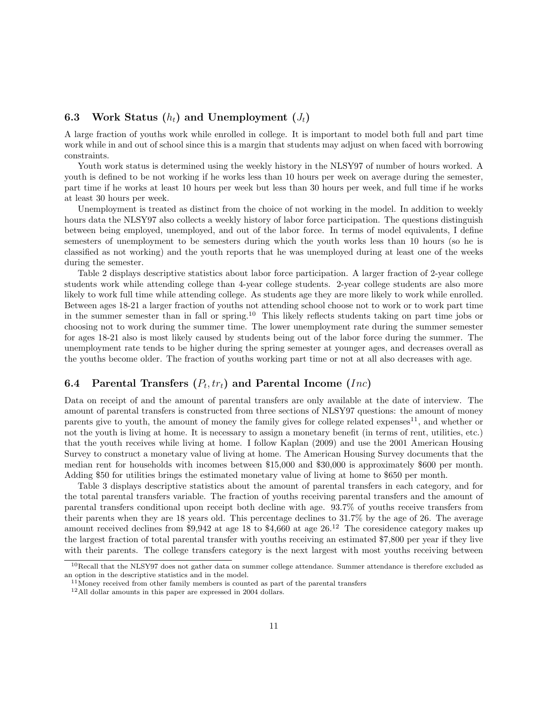### 6.3 Work Status  $(h_t)$  and Unemployment  $(J_t)$

A large fraction of youths work while enrolled in college. It is important to model both full and part time work while in and out of school since this is a margin that students may adjust on when faced with borrowing constraints.

Youth work status is determined using the weekly history in the NLSY97 of number of hours worked. A youth is defined to be not working if he works less than 10 hours per week on average during the semester, part time if he works at least 10 hours per week but less than 30 hours per week, and full time if he works at least 30 hours per week.

Unemployment is treated as distinct from the choice of not working in the model. In addition to weekly hours data the NLSY97 also collects a weekly history of labor force participation. The questions distinguish between being employed, unemployed, and out of the labor force. In terms of model equivalents, I define semesters of unemployment to be semesters during which the youth works less than 10 hours (so he is classified as not working) and the youth reports that he was unemployed during at least one of the weeks during the semester.

Table 2 displays descriptive statistics about labor force participation. A larger fraction of 2-year college students work while attending college than 4-year college students. 2-year college students are also more likely to work full time while attending college. As students age they are more likely to work while enrolled. Between ages 18-21 a larger fraction of youths not attending school choose not to work or to work part time in the summer semester than in fall or spring.<sup>10</sup> This likely reflects students taking on part time jobs or choosing not to work during the summer time. The lower unemployment rate during the summer semester for ages 18-21 also is most likely caused by students being out of the labor force during the summer. The unemployment rate tends to be higher during the spring semester at younger ages, and decreases overall as the youths become older. The fraction of youths working part time or not at all also decreases with age.

### 6.4 Parental Transfers  $(P_t, tr_t)$  and Parental Income  $(Inc)$

Data on receipt of and the amount of parental transfers are only available at the date of interview. The amount of parental transfers is constructed from three sections of NLSY97 questions: the amount of money parents give to youth, the amount of money the family gives for college related expenses<sup>11</sup>, and whether or not the youth is living at home. It is necessary to assign a monetary benefit (in terms of rent, utilities, etc.) that the youth receives while living at home. I follow Kaplan (2009) and use the 2001 American Housing Survey to construct a monetary value of living at home. The American Housing Survey documents that the median rent for households with incomes between \$15,000 and \$30,000 is approximately \$600 per month. Adding \$50 for utilities brings the estimated monetary value of living at home to \$650 per month.

Table 3 displays descriptive statistics about the amount of parental transfers in each category, and for the total parental transfers variable. The fraction of youths receiving parental transfers and the amount of parental transfers conditional upon receipt both decline with age. 93.7% of youths receive transfers from their parents when they are 18 years old. This percentage declines to 31.7% by the age of 26. The average amount received declines from \$9,942 at age 18 to \$4,660 at age  $26<sup>12</sup>$ . The coresidence category makes up the largest fraction of total parental transfer with youths receiving an estimated \$7,800 per year if they live with their parents. The college transfers category is the next largest with most youths receiving between

<sup>&</sup>lt;sup>10</sup>Recall that the NLSY97 does not gather data on summer college attendance. Summer attendance is therefore excluded as an option in the descriptive statistics and in the model.

<sup>&</sup>lt;sup>11</sup>Money received from other family members is counted as part of the parental transfers

<sup>&</sup>lt;sup>12</sup>All dollar amounts in this paper are expressed in 2004 dollars.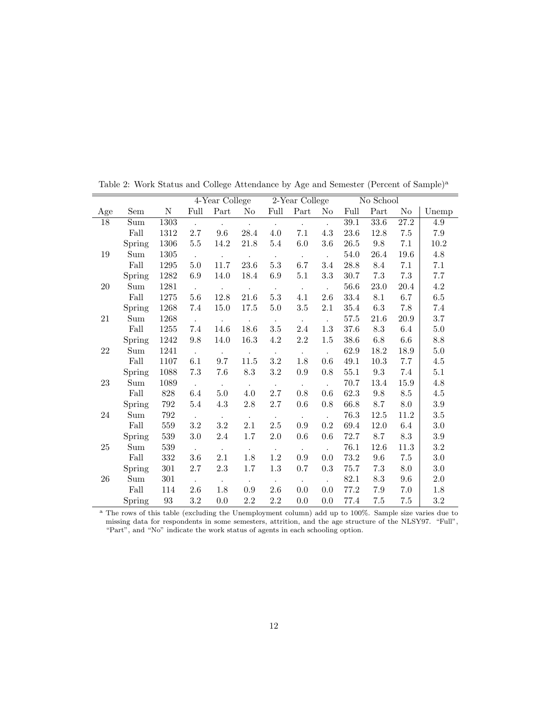|                 |                      |      |                      | 4-Year College              |                         |                     | 2-Year College       |                      |          | No School |                   |          |
|-----------------|----------------------|------|----------------------|-----------------------------|-------------------------|---------------------|----------------------|----------------------|----------|-----------|-------------------|----------|
| Age             | Sem                  | N    | Full                 | Part                        | No                      | Full                | Part                 | N <sub>o</sub>       | Full     | Part      | No                | Unemp    |
| $\overline{18}$ | Sum                  | 1303 | $\ddot{\phantom{a}}$ | $\mathcal{L}_{\mathcal{A}}$ | $\sim$                  | $\mathcal{L}^{\pm}$ | $\ddot{\phantom{0}}$ | $\ddot{\phantom{0}}$ | 39.1     | 33.6      | $\overline{27.2}$ | 4.9      |
|                 | Fall                 | 1312 | 2.7                  | 9.6                         | 28.4                    | 4.0                 | 7.1                  | 4.3                  | 23.6     | 12.8      | 7.5               | 7.9      |
|                 | Spring               | 1306 | 5.5                  | 14.2                        | $21.8\,$                | $5.4\,$             | 6.0                  | 3.6                  | 26.5     | $\,9.8$   | 7.1               | $10.2\,$ |
| 19              | Sum                  | 1305 | $\ddot{\phantom{a}}$ | $\mathcal{L}_{\text{max}}$  | $\sim 10^{-11}$         | $\sim$              | $\bullet$            | $\sim$               | 54.0     | 26.4      | 19.6              | 4.8      |
|                 | Fall                 | 1295 | 5.0                  | 11.7                        | 23.6                    | $5.3\,$             | 6.7                  | $3.4\,$              | 28.8     | 8.4       | 7.1               | 7.1      |
|                 | Spring               | 1282 | 6.9                  | 14.0                        | 18.4                    | $6.9\,$             | $5.1\,$              | $3.3\,$              | 30.7     | $7.3\,$   | $7.3\,$           | 7.7      |
| 20              | Sum                  | 1281 | $\sim$               | $\mathcal{L}_{\mathcal{A}}$ | $\sim 100$              | $\sim$              | $\sim$               | $\ddot{\phantom{a}}$ | 56.6     | 23.0      | 20.4              | 4.2      |
|                 | Fall                 | 1275 | 5.6                  | $12.8\,$                    | 21.6                    | $5.3\,$             | 4.1                  | $2.6\,$              | 33.4     | 8.1       | 6.7               | $6.5\,$  |
|                 | Spring               | 1268 | 7.4                  | 15.0                        | 17.5                    | $5.0\,$             | 3.5                  | 2.1                  | 35.4     | 6.3       | 7.8               | 7.4      |
| $21\,$          | Sum                  | 1268 | $\mathcal{L}$        |                             | $\cdot$                 | $\sim$              | $\ddot{\phantom{1}}$ | $\ddot{\phantom{a}}$ | 57.5     | 21.6      | $20.9\,$          | 3.7      |
|                 | Fall                 | 1255 | 7.4                  | 14.6                        | 18.6                    | $\!.5$              | 2.4                  | 1.3                  | 37.6     | 8.3       | 6.4               | 5.0      |
|                 | Spring               | 1242 | 9.8                  | 14.0                        | 16.3                    | $4.2\,$             | 2.2                  | 1.5                  | 38.6     | 6.8       | 6.6               | 8.8      |
| 22              | Sum                  | 1241 | $\mathbb{Z}^2$       | $\ddot{\phantom{0}}$        | $\sim 100$              | $\sim$              | $\bullet$            | $\mathbb{Z}^2$       | 62.9     | 18.2      | 18.9              | 5.0      |
|                 | Fall                 | 1107 | 6.1                  | 9.7                         | 11.5                    | $3.2\,$             | 1.8                  | 0.6                  | 49.1     | 10.3      | 7.7               | 4.5      |
|                 | Spring               | 1088 | 7.3                  | 7.6                         | 8.3                     | 3.2                 | 0.9                  | 0.8                  | 55.1     | 9.3       | 7.4               | 5.1      |
| $23\,$          | $\operatorname{Sum}$ | 1089 | $\sim$               | $\sim$                      | $\sim$                  | $\sim$              | $\bullet$            | $\ddot{\phantom{a}}$ | 70.7     | 13.4      | 15.9              | 4.8      |
|                 | Fall                 | 828  | 6.4                  | 5.0                         | 4.0                     | 2.7                 | 0.8                  | 0.6                  | 62.3     | 9.8       | 8.5               | 4.5      |
|                 | Spring               | 792  | 5.4                  | 4.3                         | 2.8                     | 2.7                 | 0.6                  | 0.8                  | 66.8     | 8.7       | 8.0               | 3.9      |
| $24\,$          | Sum                  | 792  | $\ddot{\phantom{a}}$ | $\bullet$ .                 | $\langle \cdot \rangle$ | $\bullet$ .         | $\bullet$            | $\sim$               | 76.3     | $12.5\,$  | 11.2              | $3.5\,$  |
|                 | Fall                 | 559  | 3.2                  | 3.2                         | 2.1                     | 2.5                 | 0.9                  | 0.2                  | 69.4     | 12.0      | 6.4               | 3.0      |
|                 | Spring               | 539  | $3.0\,$              | 2.4                         | 1.7                     | $2.0\,$             | 0.6                  | 0.6                  | 72.7     | 8.7       | 8.3               | 3.9      |
| 25              | Sum                  | 539  | $\sim$               | $\Box$                      | $\Box$                  | $\sim$              | $\sim$               | $\ddot{\phantom{a}}$ | 76.1     | 12.6      | 11.3              | $3.2\,$  |
|                 | Fall                 | 332  | 3.6                  | 2.1                         | $1.8\,$                 | $1.2\,$             | 0.9                  | 0.0                  | 73.2     | 9.6       | 7.5               | $3.0\,$  |
|                 | Spring               | 301  | 2.7                  | 2.3                         | 1.7                     | 1.3                 | 0.7                  | 0.3                  | 75.7     | 7.3       | 8.0               | 3.0      |
| 26              | Sum                  | 301  | $\sim$               | $\Box$                      | $\blacksquare$          | $\sim$              | $\sim$               | $\ddot{\phantom{a}}$ | $82.1\,$ | 8.3       | 9.6               | 2.0      |
|                 | Fall                 | 114  | $2.6\,$              | 1.8                         | 0.9                     | $2.6\,$             | 0.0                  | 0.0                  | 77.2     | $7.9\,$   | 7.0               | 1.8      |
|                 | Spring               | 93   | 3.2                  | 0.0                         | $2.2\,$                 | $2.2\,$             | 0.0                  | 0.0                  | 77.4     | $7.5\,$   | 7.5               | 3.2      |

Table 2: Work Status and College Attendance by Age and Semester (Percent of Sample)<sup>a</sup>

<sup>a</sup> The rows of this table (excluding the Unemployment column) add up to 100%. Sample size varies due to missing data for respondents in some semesters, attrition, and the age structure of the NLSY97. "Full", "Part", and "No" indicate the work status of agents in each schooling option.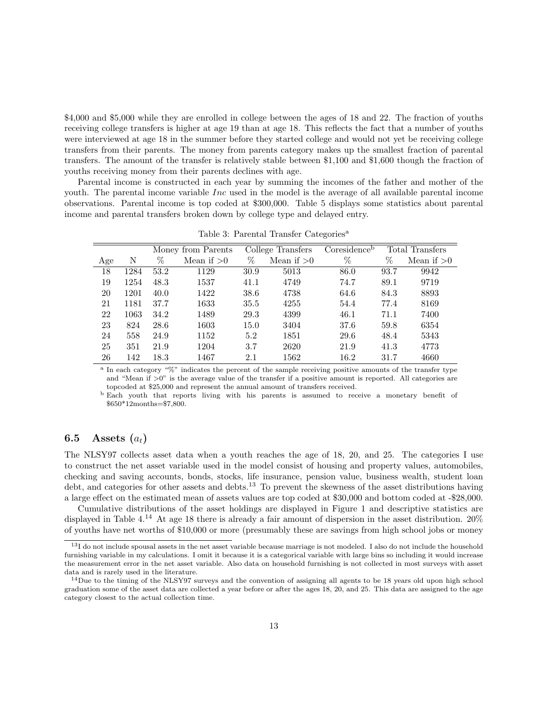\$4,000 and \$5,000 while they are enrolled in college between the ages of 18 and 22. The fraction of youths receiving college transfers is higher at age 19 than at age 18. This reflects the fact that a number of youths were interviewed at age 18 in the summer before they started college and would not yet be receiving college transfers from their parents. The money from parents category makes up the smallest fraction of parental transfers. The amount of the transfer is relatively stable between \$1,100 and \$1,600 though the fraction of youths receiving money from their parents declines with age.

Parental income is constructed in each year by summing the incomes of the father and mother of the youth. The parental income variable Inc used in the model is the average of all available parental income observations. Parental income is top coded at \$300,000. Table 5 displays some statistics about parental income and parental transfers broken down by college type and delayed entry.

|     |      |      | Money from Parents |      | College Transfers | Coresidence <sup>b</sup> |      | Total Transfers |
|-----|------|------|--------------------|------|-------------------|--------------------------|------|-----------------|
| Age | Ν    | %    | Mean if $>0$       | %    | Mean if $>0$      | %                        | %    | Mean if $>0$    |
| 18  | 1284 | 53.2 | 1129               | 30.9 | 5013              | 86.0                     | 93.7 | 9942            |
| 19  | 1254 | 48.3 | 1537               | 41.1 | 4749              | 74.7                     | 89.1 | 9719            |
| 20  | 1201 | 40.0 | 1422               | 38.6 | 4738              | 64.6                     | 84.3 | 8893            |
| 21  | 1181 | 37.7 | 1633               | 35.5 | 4255              | 54.4                     | 77.4 | 8169            |
| 22  | 1063 | 34.2 | 1489               | 29.3 | 4399              | 46.1                     | 71.1 | 7400            |
| 23  | 824  | 28.6 | 1603               | 15.0 | 3404              | 37.6                     | 59.8 | 6354            |
| 24  | 558  | 24.9 | 1152               | 5.2  | 1851              | 29.6                     | 48.4 | 5343            |
| 25  | 351  | 21.9 | 1204               | 3.7  | 2620              | 21.9                     | 41.3 | 4773            |
| 26  | 142  | 18.3 | 1467               | 2.1  | 1562              | 16.2                     | 31.7 | 4660            |

Table 3: Parental Transfer Categories<sup>a</sup>

<sup>a</sup> In each category "%" indicates the percent of the sample receiving positive amounts of the transfer type and "Mean if  $>0$ " is the average value of the transfer if a positive amount is reported. All categories are topcoded at \$25,000 and represent the annual amount of transfers received.

<sup>b</sup> Each youth that reports living with his parents is assumed to receive a monetary benefit of \$650\*12months=\$7,800.

### 6.5 Assets  $(a_t)$

The NLSY97 collects asset data when a youth reaches the age of 18, 20, and 25. The categories I use to construct the net asset variable used in the model consist of housing and property values, automobiles, checking and saving accounts, bonds, stocks, life insurance, pension value, business wealth, student loan debt, and categories for other assets and debts.<sup>13</sup> To prevent the skewness of the asset distributions having a large effect on the estimated mean of assets values are top coded at \$30,000 and bottom coded at -\$28,000.

Cumulative distributions of the asset holdings are displayed in Figure 1 and descriptive statistics are displayed in Table 4.<sup>14</sup> At age 18 there is already a fair amount of dispersion in the asset distribution. 20% of youths have net worths of \$10,000 or more (presumably these are savings from high school jobs or money

<sup>&</sup>lt;sup>13</sup>I do not include spousal assets in the net asset variable because marriage is not modeled. I also do not include the household furnishing variable in my calculations. I omit it because it is a categorical variable with large bins so including it would increase the measurement error in the net asset variable. Also data on household furnishing is not collected in most surveys with asset data and is rarely used in the literature.

 $14$ Due to the timing of the NLSY97 surveys and the convention of assigning all agents to be 18 years old upon high school graduation some of the asset data are collected a year before or after the ages 18, 20, and 25. This data are assigned to the age category closest to the actual collection time.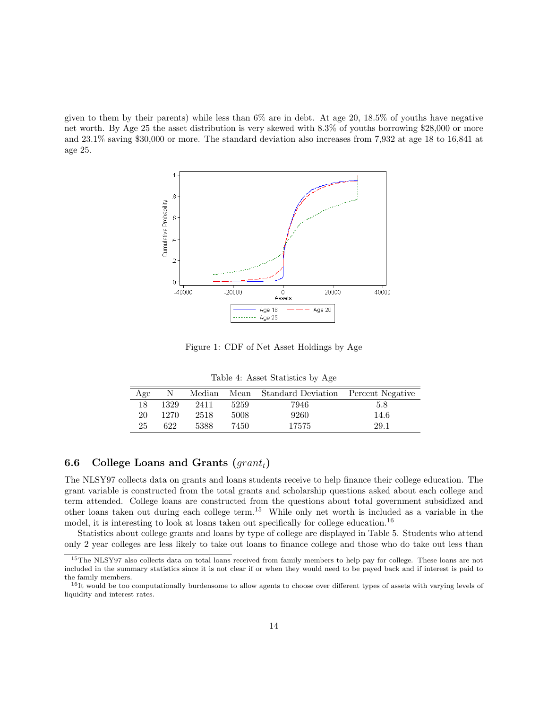given to them by their parents) while less than  $6\%$  are in debt. At age 20, 18.5% of youths have negative net worth. By Age 25 the asset distribution is very skewed with 8.3% of youths borrowing \$28,000 or more and 23.1% saving \$30,000 or more. The standard deviation also increases from 7,932 at age 18 to 16,841 at age 25.



Figure 1: CDF of Net Asset Holdings by Age

Table 4: Asset Statistics by Age

| Age | N    | Median | Mean | Standard Deviation Percent Negative |      |
|-----|------|--------|------|-------------------------------------|------|
| 18  | 1329 | 2411   | 5259 | 7946                                | 5.8  |
| 20  | 1270 | 2518   | 5008 | 9260                                | 14.6 |
| 25  | 622  | 5388   | 7450 | 17575                               | 29.1 |

### 6.6 College Loans and Grants  $(qrant_t)$

The NLSY97 collects data on grants and loans students receive to help finance their college education. The grant variable is constructed from the total grants and scholarship questions asked about each college and term attended. College loans are constructed from the questions about total government subsidized and other loans taken out during each college term.<sup>15</sup> While only net worth is included as a variable in the model, it is interesting to look at loans taken out specifically for college education.<sup>16</sup>

Statistics about college grants and loans by type of college are displayed in Table 5. Students who attend only 2 year colleges are less likely to take out loans to finance college and those who do take out less than

<sup>15</sup>The NLSY97 also collects data on total loans received from family members to help pay for college. These loans are not included in the summary statistics since it is not clear if or when they would need to be payed back and if interest is paid to the family members.

<sup>&</sup>lt;sup>16</sup>It would be too computationally burdensome to allow agents to choose over different types of assets with varying levels of liquidity and interest rates.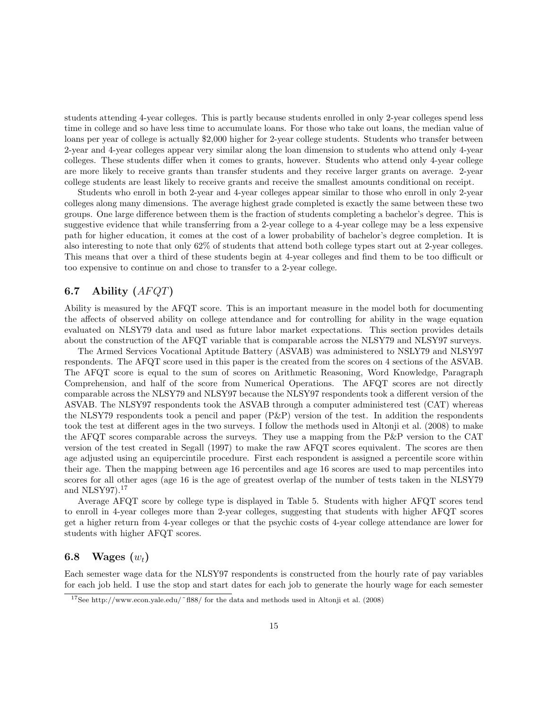students attending 4-year colleges. This is partly because students enrolled in only 2-year colleges spend less time in college and so have less time to accumulate loans. For those who take out loans, the median value of loans per year of college is actually \$2,000 higher for 2-year college students. Students who transfer between 2-year and 4-year colleges appear very similar along the loan dimension to students who attend only 4-year colleges. These students differ when it comes to grants, however. Students who attend only 4-year college are more likely to receive grants than transfer students and they receive larger grants on average. 2-year college students are least likely to receive grants and receive the smallest amounts conditional on receipt.

Students who enroll in both 2-year and 4-year colleges appear similar to those who enroll in only 2-year colleges along many dimensions. The average highest grade completed is exactly the same between these two groups. One large difference between them is the fraction of students completing a bachelor's degree. This is suggestive evidence that while transferring from a 2-year college to a 4-year college may be a less expensive path for higher education, it comes at the cost of a lower probability of bachelor's degree completion. It is also interesting to note that only 62% of students that attend both college types start out at 2-year colleges. This means that over a third of these students begin at 4-year colleges and find them to be too difficult or too expensive to continue on and chose to transfer to a 2-year college.

### 6.7 Ability  $(AFQT)$

Ability is measured by the AFQT score. This is an important measure in the model both for documenting the affects of observed ability on college attendance and for controlling for ability in the wage equation evaluated on NLSY79 data and used as future labor market expectations. This section provides details about the construction of the AFQT variable that is comparable across the NLSY79 and NLSY97 surveys.

The Armed Services Vocational Aptitude Battery (ASVAB) was administered to NSLY79 and NLSY97 respondents. The AFQT score used in this paper is the created from the scores on 4 sections of the ASVAB. The AFQT score is equal to the sum of scores on Arithmetic Reasoning, Word Knowledge, Paragraph Comprehension, and half of the score from Numerical Operations. The AFQT scores are not directly comparable across the NLSY79 and NLSY97 because the NLSY97 respondents took a different version of the ASVAB. The NLSY97 respondents took the ASVAB through a computer administered test (CAT) whereas the NLSY79 respondents took a pencil and paper (P&P) version of the test. In addition the respondents took the test at different ages in the two surveys. I follow the methods used in Altonji et al. (2008) to make the AFQT scores comparable across the surveys. They use a mapping from the P&P version to the CAT version of the test created in Segall (1997) to make the raw AFQT scores equivalent. The scores are then age adjusted using an equipercintile procedure. First each respondent is assigned a percentile score within their age. Then the mapping between age 16 percentiles and age 16 scores are used to map percentiles into scores for all other ages (age 16 is the age of greatest overlap of the number of tests taken in the NLSY79 and NLSY97<sup>17</sup>

Average AFQT score by college type is displayed in Table 5. Students with higher AFQT scores tend to enroll in 4-year colleges more than 2-year colleges, suggesting that students with higher AFQT scores get a higher return from 4-year colleges or that the psychic costs of 4-year college attendance are lower for students with higher AFQT scores.

### 6.8 Wages  $(w_t)$

Each semester wage data for the NLSY97 respondents is constructed from the hourly rate of pay variables for each job held. I use the stop and start dates for each job to generate the hourly wage for each semester

<sup>&</sup>lt;sup>17</sup>See http://www.econ.yale.edu/ $\bar{ }$  fl88/ for the data and methods used in Altonji et al. (2008)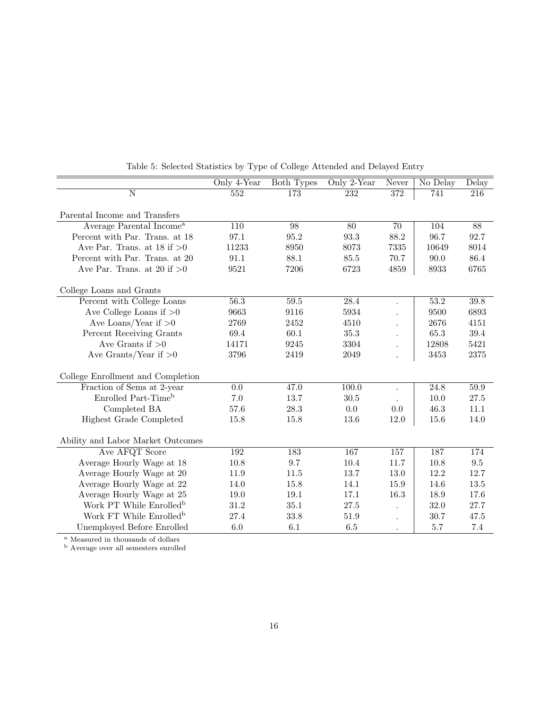|                                      | Only 4-Year       | <b>Both Types</b> | Only 2-Year       | Never | No Delay          | Delay           |
|--------------------------------------|-------------------|-------------------|-------------------|-------|-------------------|-----------------|
| N                                    | 552               | 173               | 232               | 372   | 741               | 216             |
|                                      |                   |                   |                   |       |                   |                 |
| Parental Income and Transfers        |                   |                   |                   |       |                   |                 |
| Average Parental Income <sup>a</sup> | $\overline{110}$  | 98                | $\overline{80}$   | 70    | 104               | $\overline{88}$ |
| Percent with Par. Trans. at 18       | 97.1              | 95.2              | 93.3              | 88.2  | 96.7              | 92.7            |
| Ave Par. Trans. at $18$ if $>0$      | 11233             | 8950              | 8073              | 7335  | 10649             | 8014            |
| Percent with Par. Trans. at 20       | 91.1              | 88.1              | 85.5              | 70.7  | 90.0              | 86.4            |
| Ave Par. Trans. at 20 if $>0$        | 9521              | 7206              | 6723              | 4859  | 8933              | 6765            |
| College Loans and Grants             |                   |                   |                   |       |                   |                 |
| Percent with College Loans           | $\overline{56.3}$ | 59.5              | $\overline{28.4}$ |       | 53.2              | 39.8            |
| Ave College Loans if $>0$            | 9663              | 9116              | 5934              |       | 9500              | 6893            |
| Ave Loans/Year if $>0$               | 2769              | 2452              | 4510              |       | 2676              | 4151            |
| Percent Receiving Grants             | 69.4              | 60.1              | 35.3              |       | 65.3              | $39.4\,$        |
| Ave Grants if $>0$                   | 14171             | 9245              | 3304              |       | 12808             | 5421            |
| Ave Grants/Year if $>0$              | 3796              | 2419              | 2049              |       | 3453              | 2375            |
| College Enrollment and Completion    |                   |                   |                   |       |                   |                 |
| Fraction of Sems at 2-year           | 0.0               | 47.0              | 100.0             |       | $\overline{24.8}$ | 59.9            |
| Enrolled Part-Time <sup>b</sup>      | $7.0\,$           | 13.7              | 30.5              |       | 10.0              | 27.5            |
| Completed BA                         | 57.6              | 28.3              | $0.0\,$           | 0.0   | 46.3              | 11.1            |
| Highest Grade Completed              | 15.8              | 15.8              | 13.6              | 12.0  | 15.6              | 14.0            |
| Ability and Labor Market Outcomes    |                   |                   |                   |       |                   |                 |
| Ave AFQT Score                       | 192               | 183               | 167               | 157   | 187               | 174             |
| Average Hourly Wage at 18            | 10.8              | 9.7               | 10.4              | 11.7  | 10.8              | $\,9.5$         |
| Average Hourly Wage at 20            | 11.9              | 11.5              | 13.7              | 13.0  | 12.2              | 12.7            |
| Average Hourly Wage at 22            | 14.0              | 15.8              | 14.1              | 15.9  | 14.6              | 13.5            |
| Average Hourly Wage at 25            | 19.0              | 19.1              | 17.1              | 16.3  | 18.9              | 17.6            |
| Work PT While Enrolled <sup>b</sup>  | 31.2              | 35.1              | 27.5              |       | 32.0              | 27.7            |
| Work FT While Enrolled <sup>b</sup>  | 27.4              | 33.8              | 51.9              |       | 30.7              | 47.5            |
| Unemployed Before Enrolled           | $6.0\,$           | 6.1               | 6.5               |       | 5.7               | 7.4             |

Table 5: Selected Statistics by Type of College Attended and Delayed Entry

<sup>a</sup> Measured in thousands of dollars

<sup>b</sup> Average over all semesters enrolled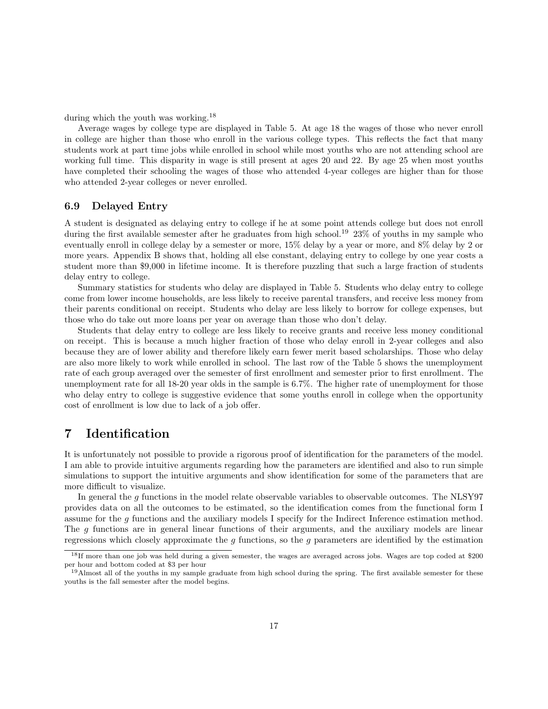during which the youth was working.<sup>18</sup>

Average wages by college type are displayed in Table 5. At age 18 the wages of those who never enroll in college are higher than those who enroll in the various college types. This reflects the fact that many students work at part time jobs while enrolled in school while most youths who are not attending school are working full time. This disparity in wage is still present at ages 20 and 22. By age 25 when most youths have completed their schooling the wages of those who attended 4-year colleges are higher than for those who attended 2-year colleges or never enrolled.

#### 6.9 Delayed Entry

A student is designated as delaying entry to college if he at some point attends college but does not enroll during the first available semester after he graduates from high school.<sup>19</sup> 23% of youths in my sample who eventually enroll in college delay by a semester or more, 15% delay by a year or more, and 8% delay by 2 or more years. Appendix B shows that, holding all else constant, delaying entry to college by one year costs a student more than \$9,000 in lifetime income. It is therefore puzzling that such a large fraction of students delay entry to college.

Summary statistics for students who delay are displayed in Table 5. Students who delay entry to college come from lower income households, are less likely to receive parental transfers, and receive less money from their parents conditional on receipt. Students who delay are less likely to borrow for college expenses, but those who do take out more loans per year on average than those who don't delay.

Students that delay entry to college are less likely to receive grants and receive less money conditional on receipt. This is because a much higher fraction of those who delay enroll in 2-year colleges and also because they are of lower ability and therefore likely earn fewer merit based scholarships. Those who delay are also more likely to work while enrolled in school. The last row of the Table 5 shows the unemployment rate of each group averaged over the semester of first enrollment and semester prior to first enrollment. The unemployment rate for all 18-20 year olds in the sample is 6.7%. The higher rate of unemployment for those who delay entry to college is suggestive evidence that some youths enroll in college when the opportunity cost of enrollment is low due to lack of a job offer.

## 7 Identification

It is unfortunately not possible to provide a rigorous proof of identification for the parameters of the model. I am able to provide intuitive arguments regarding how the parameters are identified and also to run simple simulations to support the intuitive arguments and show identification for some of the parameters that are more difficult to visualize.

In general the g functions in the model relate observable variables to observable outcomes. The NLSY97 provides data on all the outcomes to be estimated, so the identification comes from the functional form I assume for the g functions and the auxiliary models I specify for the Indirect Inference estimation method. The g functions are in general linear functions of their arguments, and the auxiliary models are linear regressions which closely approximate the  $g$  functions, so the  $g$  parameters are identified by the estimation

<sup>18</sup>If more than one job was held during a given semester, the wages are averaged across jobs. Wages are top coded at \$200 per hour and bottom coded at \$3 per hour

 $19$ Almost all of the youths in my sample graduate from high school during the spring. The first available semester for these youths is the fall semester after the model begins.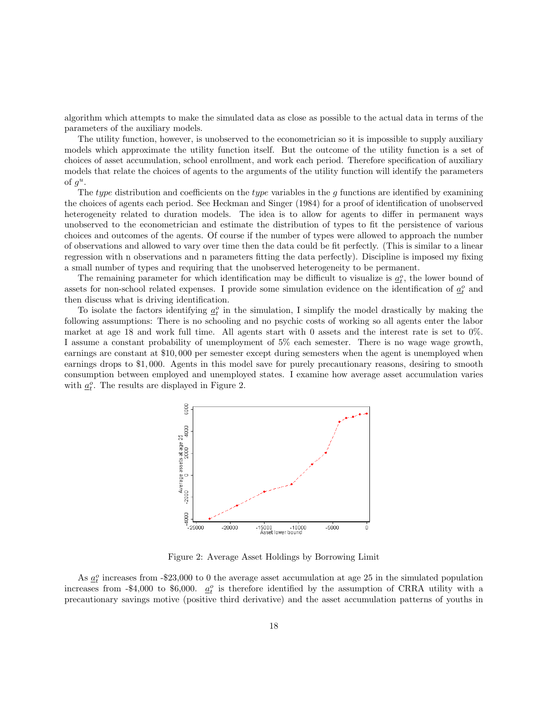algorithm which attempts to make the simulated data as close as possible to the actual data in terms of the parameters of the auxiliary models.

The utility function, however, is unobserved to the econometrician so it is impossible to supply auxiliary models which approximate the utility function itself. But the outcome of the utility function is a set of choices of asset accumulation, school enrollment, and work each period. Therefore specification of auxiliary models that relate the choices of agents to the arguments of the utility function will identify the parameters of  $g^u$ .

The type distribution and coefficients on the type variables in the  $g$  functions are identified by examining the choices of agents each period. See Heckman and Singer (1984) for a proof of identification of unobserved heterogeneity related to duration models. The idea is to allow for agents to differ in permanent ways unobserved to the econometrician and estimate the distribution of types to fit the persistence of various choices and outcomes of the agents. Of course if the number of types were allowed to approach the number of observations and allowed to vary over time then the data could be fit perfectly. (This is similar to a linear regression with n observations and n parameters fitting the data perfectly). Discipline is imposed my fixing a small number of types and requiring that the unobserved heterogeneity to be permanent.

The remaining parameter for which identification may be difficult to visualize is  $\underline{a}_t^o$ , the lower bound of assets for non-school related expenses. I provide some simulation evidence on the identification of  $\underline{a}^o_t$  and then discuss what is driving identification.

To isolate the factors identifying  $\underline{a}_t^o$  in the simulation, I simplify the model drastically by making the following assumptions: There is no schooling and no psychic costs of working so all agents enter the labor market at age 18 and work full time. All agents start with 0 assets and the interest rate is set to 0%. I assume a constant probability of unemployment of 5% each semester. There is no wage wage growth, earnings are constant at \$10, 000 per semester except during semesters when the agent is unemployed when earnings drops to \$1, 000. Agents in this model save for purely precautionary reasons, desiring to smooth consumption between employed and unemployed states. I examine how average asset accumulation varies with  $\underline{a}^o_t$ . The results are displayed in Figure 2.



Figure 2: Average Asset Holdings by Borrowing Limit

As  $\underline{a}_t^o$  increases from -\$23,000 to 0 the average asset accumulation at age 25 in the simulated population increases from -\$4,000 to \$6,000.  $\underline{a}^o_t$  is therefore identified by the assumption of CRRA utility with a precautionary savings motive (positive third derivative) and the asset accumulation patterns of youths in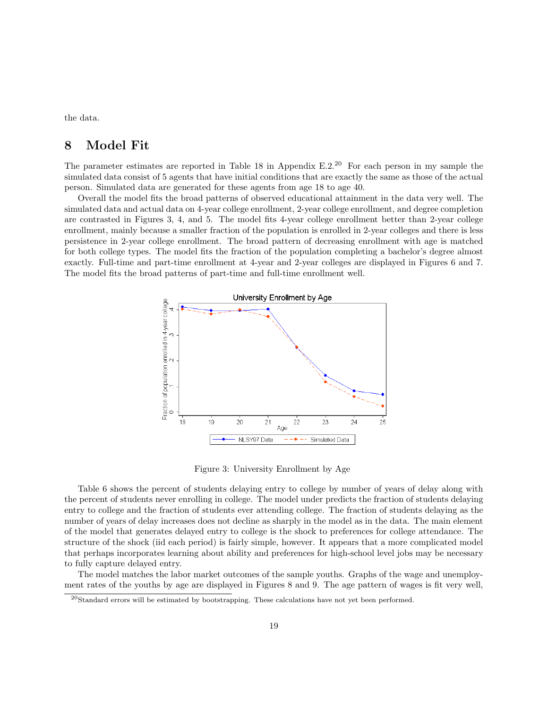the data.

## 8 Model Fit

The parameter estimates are reported in Table 18 in Appendix E.2.<sup>20</sup> For each person in my sample the simulated data consist of 5 agents that have initial conditions that are exactly the same as those of the actual person. Simulated data are generated for these agents from age 18 to age 40.

Overall the model fits the broad patterns of observed educational attainment in the data very well. The simulated data and actual data on 4-year college enrollment, 2-year college enrollment, and degree completion are contrasted in Figures 3, 4, and 5. The model fits 4-year college enrollment better than 2-year college enrollment, mainly because a smaller fraction of the population is enrolled in 2-year colleges and there is less persistence in 2-year college enrollment. The broad pattern of decreasing enrollment with age is matched for both college types. The model fits the fraction of the population completing a bachelor's degree almost exactly. Full-time and part-time enrollment at 4-year and 2-year colleges are displayed in Figures 6 and 7. The model fits the broad patterns of part-time and full-time enrollment well.



Figure 3: University Enrollment by Age

Table 6 shows the percent of students delaying entry to college by number of years of delay along with the percent of students never enrolling in college. The model under predicts the fraction of students delaying entry to college and the fraction of students ever attending college. The fraction of students delaying as the number of years of delay increases does not decline as sharply in the model as in the data. The main element of the model that generates delayed entry to college is the shock to preferences for college attendance. The structure of the shock (iid each period) is fairly simple, however. It appears that a more complicated model that perhaps incorporates learning about ability and preferences for high-school level jobs may be necessary to fully capture delayed entry.

The model matches the labor market outcomes of the sample youths. Graphs of the wage and unemployment rates of the youths by age are displayed in Figures 8 and 9. The age pattern of wages is fit very well,

<sup>20</sup>Standard errors will be estimated by bootstrapping. These calculations have not yet been performed.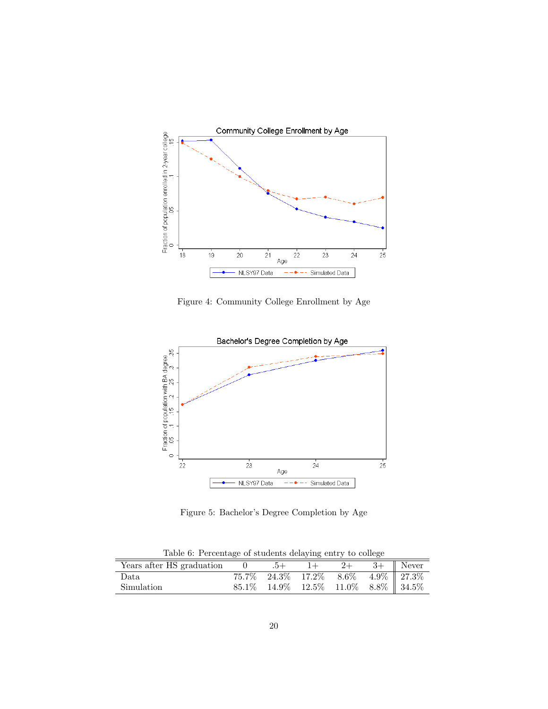

Figure 4: Community College Enrollment by Age



Figure 5: Bachelor's Degree Completion by Age

Table 6: Percentage of students delaying entry to college

| Years after HS graduation |  |                                                    | $2+$ | $3+$ Never |
|---------------------------|--|----------------------------------------------------|------|------------|
| Data                      |  | $75.7\%$ 24.3\% 17.2\% 8.6\% 4.9\%\le 27.3\%       |      |            |
| Simulation                |  | $85.1\%$ $14.9\%$ $12.5\%$ $11.0\%$ $8.8\%$ 34.5\% |      |            |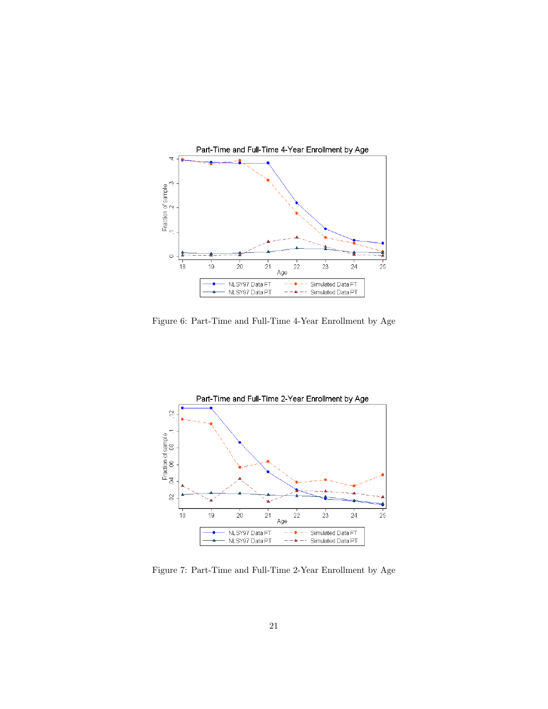

Figure 6: Part-Time and Full-Time 4-Year Enrollment by Age



Figure 7: Part-Time and Full-Time 2-Year Enrollment by Age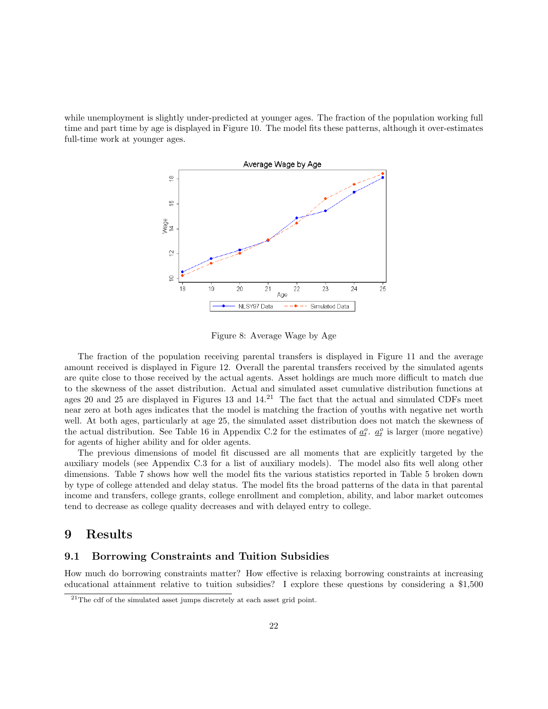while unemployment is slightly under-predicted at younger ages. The fraction of the population working full time and part time by age is displayed in Figure 10. The model fits these patterns, although it over-estimates full-time work at younger ages.



Figure 8: Average Wage by Age

The fraction of the population receiving parental transfers is displayed in Figure 11 and the average amount received is displayed in Figure 12. Overall the parental transfers received by the simulated agents are quite close to those received by the actual agents. Asset holdings are much more difficult to match due to the skewness of the asset distribution. Actual and simulated asset cumulative distribution functions at ages 20 and 25 are displayed in Figures 13 and  $14.<sup>21</sup>$  The fact that the actual and simulated CDFs meet near zero at both ages indicates that the model is matching the fraction of youths with negative net worth well. At both ages, particularly at age 25, the simulated asset distribution does not match the skewness of the actual distribution. See Table 16 in Appendix C.2 for the estimates of  $\underline{a}_t^o$ .  $\underline{a}_t^o$  is larger (more negative) for agents of higher ability and for older agents.

The previous dimensions of model fit discussed are all moments that are explicitly targeted by the auxiliary models (see Appendix C.3 for a list of auxiliary models). The model also fits well along other dimensions. Table 7 shows how well the model fits the various statistics reported in Table 5 broken down by type of college attended and delay status. The model fits the broad patterns of the data in that parental income and transfers, college grants, college enrollment and completion, ability, and labor market outcomes tend to decrease as college quality decreases and with delayed entry to college.

### 9 Results

### 9.1 Borrowing Constraints and Tuition Subsidies

How much do borrowing constraints matter? How effective is relaxing borrowing constraints at increasing educational attainment relative to tuition subsidies? I explore these questions by considering a \$1,500

 $^{21}$ The cdf of the simulated asset jumps discretely at each asset grid point.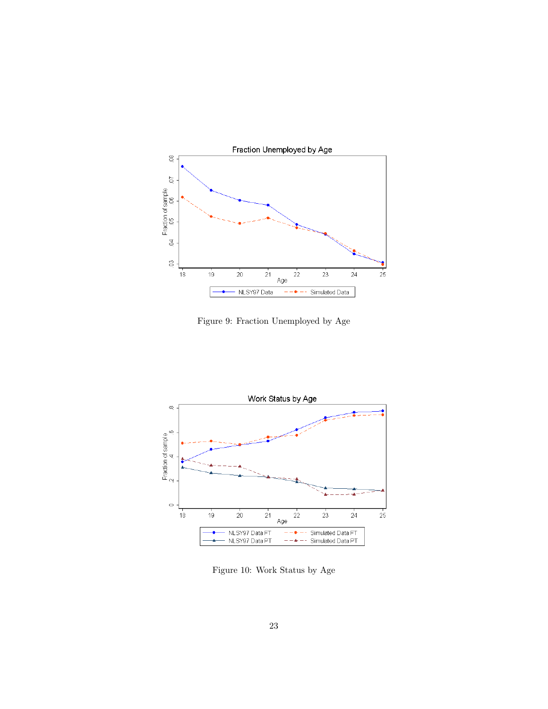

Figure 9: Fraction Unemployed by Age



Figure 10: Work Status by Age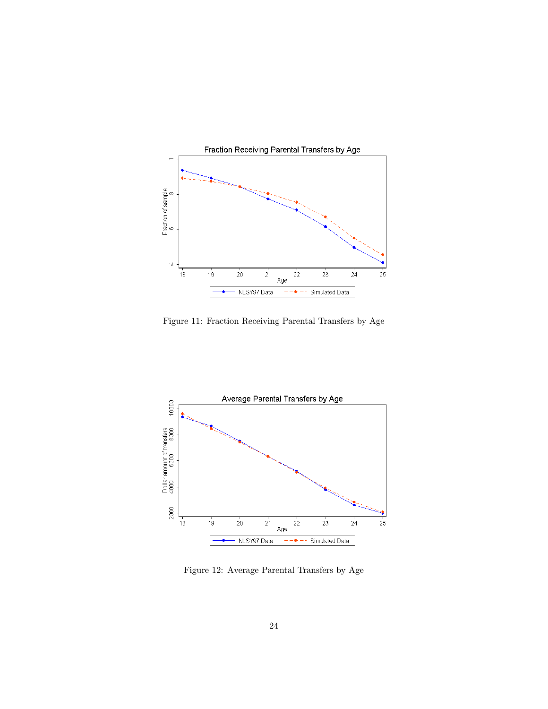

Figure 11: Fraction Receiving Parental Transfers by Age



Figure 12: Average Parental Transfers by Age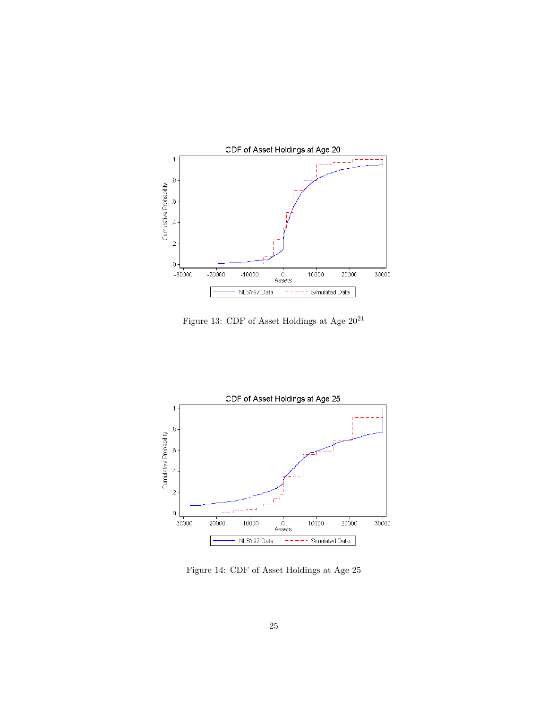

Figure 13: CDF of Asset Holdings at Age  $20^{21}\,$ 



Figure 14: CDF of Asset Holdings at Age 25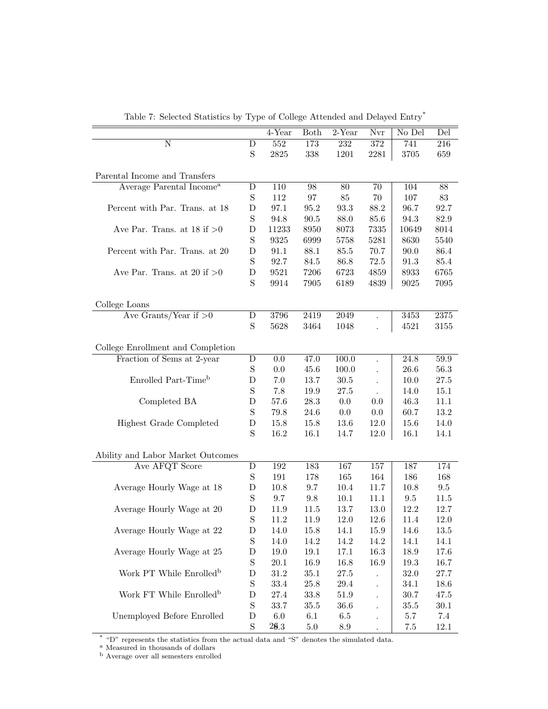|                                      |                  | 4-Year   | Both     | $2$ -Year | Nvr  | No Del   | Del        |
|--------------------------------------|------------------|----------|----------|-----------|------|----------|------------|
| N                                    |                  | $552\,$  | 173      | 232       | 372  | 741      | 216        |
|                                      | D<br>$\mathbf S$ | 2825     |          |           |      |          |            |
|                                      |                  |          | 338      | 1201      | 2281 | 3705     | 659        |
| Parental Income and Transfers        |                  |          |          |           |      |          |            |
| Average Parental Income <sup>a</sup> | D                | 110      | 98       | 80        | 70   | 104      | 88         |
|                                      | $\mathbf S$      | 112      | 97       | 85        | 70   | 107      | 83         |
| Percent with Par. Trans. at 18       | D                | 97.1     | 95.2     | 93.3      | 88.2 | 96.7     | 92.7       |
|                                      | $\mathbf S$      | 94.8     | 90.5     | 88.0      | 85.6 | 94.3     | 82.9       |
| Ave Par. Trans. at $18$ if $>0$      | $\mathbf D$      | 11233    | 8950     | 8073      | 7335 | 10649    | 8014       |
|                                      | $\mathbf S$      | 9325     | 6999     | 5758      | 5281 | 8630     | 5540       |
| Percent with Par. Trans. at 20       | D                | 91.1     | 88.1     | 85.5      | 70.7 | 90.0     | 86.4       |
|                                      | $\mathbf S$      | 92.7     | 84.5     | 86.8      | 72.5 | 91.3     | 85.4       |
| Ave Par. Trans. at 20 if $>0$        | $\mathbf D$      | 9521     | 7206     | 6723      | 4859 | 8933     | 6765       |
|                                      | S                | 9914     | 7905     | 6189      | 4839 | 9025     | 7095       |
|                                      |                  |          |          |           |      |          |            |
| College Loans                        |                  |          |          |           |      |          |            |
| Ave Grants/Year if $>0$              | D                | 3796     | 2419     | 2049      |      | 3453     | $\bf 2375$ |
|                                      | $\mathbf S$      | 5628     | 3464     | 1048      |      | 4521     | 3155       |
|                                      |                  |          |          |           |      |          |            |
| College Enrollment and Completion    |                  |          |          |           |      |          |            |
| Fraction of Sems at 2-year           | D                | 0.0      | 47.0     | 100.0     |      | 24.8     | 59.9       |
|                                      | $\mathbf S$      | 0.0      | 45.6     | 100.0     |      | 26.6     | 56.3       |
| Enrolled Part-Time <sup>b</sup>      | D                | 7.0      | 13.7     | 30.5      |      | 10.0     | $27.5\,$   |
|                                      | $\mathbf S$      | 7.8      | 19.9     | 27.5      |      | 14.0     | 15.1       |
| Completed BA                         | D                | 57.6     | 28.3     | 0.0       | 0.0  | 46.3     | 11.1       |
|                                      | $\mathbf S$      | 79.8     | 24.6     | 0.0       | 0.0  | 60.7     | 13.2       |
| Highest Grade Completed              | D                | 15.8     | 15.8     | 13.6      | 12.0 | 15.6     | 14.0       |
|                                      | S                | 16.2     | 16.1     | 14.7      | 12.0 | 16.1     | 14.1       |
|                                      |                  |          |          |           |      |          |            |
| Ability and Labor Market Outcomes    |                  |          |          |           |      |          |            |
| Ave AFQT Score                       | D                | 192      | 183      | 167       | 157  | 187      | 174        |
|                                      | $\mathbf S$      | 191      | 178      | 165       | 164  | 186      | 168        |
| Average Hourly Wage at 18            | D                | 10.8     | 9.7      | 10.4      | 11.7 | 10.8     | $\,9.5$    |
|                                      | $\mathbf S$      | 9.7      | $9.8\,$  | 10.1      | 11.1 | $\,9.5$  | 11.5       |
| Average Hourly Wage at 20            | D                | 11.9     | 11.5     | 13.7      | 13.0 | 12.2     | 12.7       |
|                                      | S                | 11.2     | 11.9     | 12.0      | 12.6 | 11.4     | 12.0       |
| Average Hourly Wage at 22            | $\mathbf D$      | 14.0     | 15.8     | 14.1      | 15.9 | 14.6     | 13.5       |
|                                      | $\mathbf S$      | 14.0     | 14.2     | 14.2      | 14.2 | 14.1     | 14.1       |
| Average Hourly Wage at 25            | D                | $19.0\,$ | 19.1     | 17.1      | 16.3 | 18.9     | 17.6       |
|                                      | $\mathbf S$      | $20.1\,$ | 16.9     | 16.8      | 16.9 | 19.3     | 16.7       |
| Work PT While Enrolled <sup>b</sup>  | D                | $31.2\,$ | 35.1     | $27.5\,$  |      | 32.0     | 27.7       |
|                                      | $\mathbf S$      | 33.4     | $25.8\,$ | $29.4\,$  |      | 34.1     | 18.6       |
| Work FT While Enrolled <sup>b</sup>  | D                | 27.4     | 33.8     | $51.9\,$  |      | 30.7     | 47.5       |
|                                      | $\mathbf S$      | 33.7     | 35.5     | 36.6      |      | $35.5\,$ | $30.1\,$   |
| Unemployed Before Enrolled           | D                | $6.0\,$  | 6.1      | $6.5\,$   |      | 5.7      | $7.4\,$    |
|                                      | $\mathbf S$      | 26.3     | 5.0      | $8.9\,$   |      | $7.5\,$  | 12.1       |

Table 7: Selected Statistics by Type of College Attended and Delayed Entry\*

\* "D" represents the statistics from the actual data and "S" denotes the simulated data.

<sup>a</sup> Measured in thousands of dollars

<sup>b</sup> Average over all semesters enrolled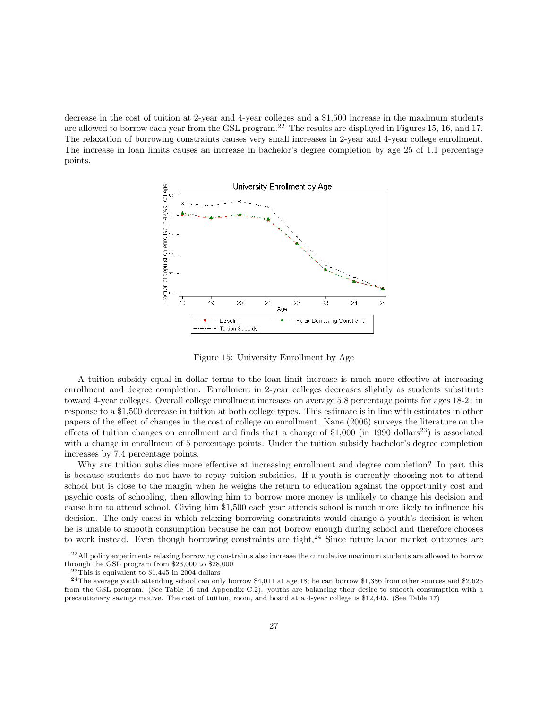decrease in the cost of tuition at 2-year and 4-year colleges and a \$1,500 increase in the maximum students are allowed to borrow each year from the GSL program.<sup>22</sup> The results are displayed in Figures 15, 16, and 17. The relaxation of borrowing constraints causes very small increases in 2-year and 4-year college enrollment. The increase in loan limits causes an increase in bachelor's degree completion by age 25 of 1.1 percentage points.



Figure 15: University Enrollment by Age

A tuition subsidy equal in dollar terms to the loan limit increase is much more effective at increasing enrollment and degree completion. Enrollment in 2-year colleges decreases slightly as students substitute toward 4-year colleges. Overall college enrollment increases on average 5.8 percentage points for ages 18-21 in response to a \$1,500 decrease in tuition at both college types. This estimate is in line with estimates in other papers of the effect of changes in the cost of college on enrollment. Kane (2006) surveys the literature on the effects of tuition changes on enrollment and finds that a change of  $$1,000$  (in 1990 dollars<sup>23</sup>) is associated with a change in enrollment of 5 percentage points. Under the tuition subsidy bachelor's degree completion increases by 7.4 percentage points.

Why are tuition subsidies more effective at increasing enrollment and degree completion? In part this is because students do not have to repay tuition subsidies. If a youth is currently choosing not to attend school but is close to the margin when he weighs the return to education against the opportunity cost and psychic costs of schooling, then allowing him to borrow more money is unlikely to change his decision and cause him to attend school. Giving him \$1,500 each year attends school is much more likely to influence his decision. The only cases in which relaxing borrowing constraints would change a youth's decision is when he is unable to smooth consumption because he can not borrow enough during school and therefore chooses to work instead. Even though borrowing constraints are tight, $^{24}$  Since future labor market outcomes are

 $^{22}$ All policy experiments relaxing borrowing constraints also increase the cumulative maximum students are allowed to borrow through the GSL program from \$23,000 to \$28,000

 $23$ This is equivalent to \$1,445 in 2004 dollars

<sup>&</sup>lt;sup>24</sup>The average youth attending school can only borrow  $$4,011$  at age 18; he can borrow \$1,386 from other sources and \$2,625 from the GSL program. (See Table 16 and Appendix C.2). youths are balancing their desire to smooth consumption with a precautionary savings motive. The cost of tuition, room, and board at a 4-year college is \$12,445. (See Table 17)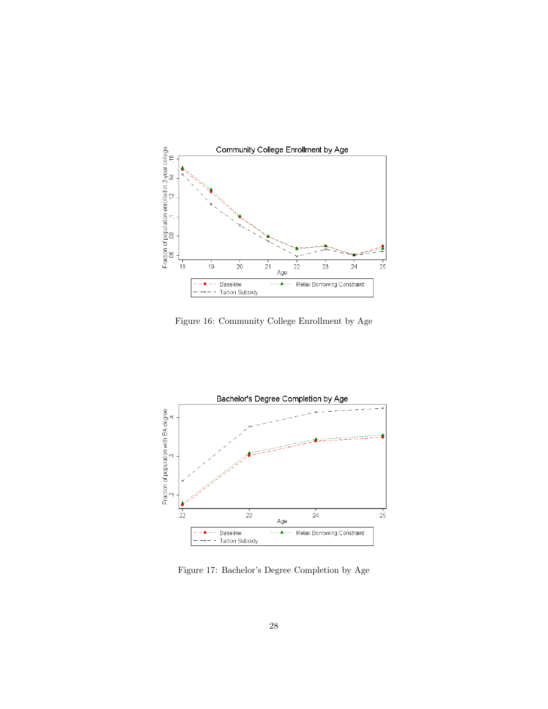

Figure 16: Community College Enrollment by Age



Figure 17: Bachelor's Degree Completion by Age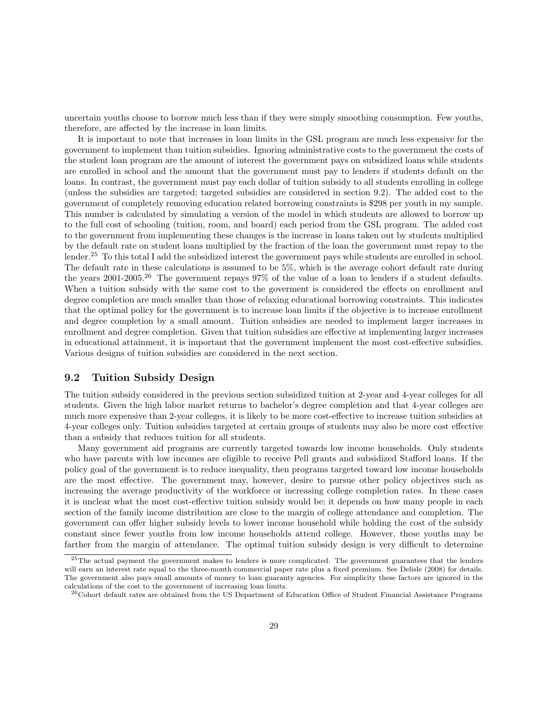uncertain youths choose to borrow much less than if they were simply smoothing consumption. Few youths, therefore, are affected by the increase in loan limits.

It is important to note that increases in loan limits in the GSL program are much less expensive for the government to implement than tuition subsidies. Ignoring administrative costs to the government the costs of the student loan program are the amount of interest the government pays on subsidized loans while students are enrolled in school and the amount that the government must pay to lenders if students default on the loans. In contrast, the government must pay each dollar of tuition subsidy to all students enrolling in college (unless the subsidies are targeted; targeted subsidies are considered in section 9.2). The added cost to the government of completely removing education related borrowing constraints is \$298 per youth in my sample. This number is calculated by simulating a version of the model in which students are allowed to borrow up to the full cost of schooling (tuition, room, and board) each period from the GSL program. The added cost to the government from implementing these changes is the increase in loans taken out by students multiplied by the default rate on student loans multiplied by the fraction of the loan the government must repay to the lender.<sup>25</sup> To this total I add the subsidized interest the government pays while students are enrolled in school. The default rate in these calculations is assumed to be 5%, which is the average cohort default rate during the years 2001-2005.<sup>26</sup> The government repays 97% of the value of a loan to lenders if a student defaults. When a tuition subsidy with the same cost to the goverment is considered the effects on enrollment and degree completion are much smaller than those of relaxing educational borrowing constraints. This indicates that the optimal policy for the government is to increase loan limits if the objective is to increase enrollment and degree completion by a small amount. Tuition subsidies are needed to implement larger increases in enrollment and degree completion. Given that tuition subsidies are effective at implementing larger increases in educational attainment, it is important that the government implement the most cost-effective subsidies. Various designs of tuition subsidies are considered in the next section.

### 9.2 Tuition Subsidy Design

The tuition subsidy considered in the previous section subsidized tuition at 2-year and 4-year colleges for all students. Given the high labor market returns to bachelor's degree completion and that 4-year colleges are much more expensive than 2-year colleges, it is likely to be more cost-effective to increase tuition subsidies at 4-year colleges only. Tuition subsidies targeted at certain groups of students may also be more cost effective than a subsidy that reduces tuition for all students.

Many government aid programs are currently targeted towards low income households. Only students who have parents with low incomes are eligible to receive Pell grants and subsidized Stafford loans. If the policy goal of the government is to reduce inequality, then programs targeted toward low income households are the most effective. The government may, however, desire to pursue other policy objectives such as increasing the average productivity of the workforce or increasing college completion rates. In these cases it is unclear what the most cost-effective tuition subsidy would be; it depends on how many people in each section of the family income distribution are close to the margin of college attendance and completion. The government can offer higher subsidy levels to lower income household while holding the cost of the subsidy constant since fewer youths from low income households attend college. However, these youths may be farther from the margin of attendance. The optimal tuition subsidy design is very difficult to determine

<sup>&</sup>lt;sup>25</sup>The actual payment the government makes to lenders is more complicated. The government guarantees that the lenders will earn an interest rate equal to the three-month commercial paper rate plus a fixed premium. See Delisle (2008) for details. The government also pays small amounts of money to loan guaranty agencies. For simplicity these factors are ignored in the calculations of the cost to the government of increasing loan limits.

<sup>26</sup>Cohort default rates are obtained from the US Department of Education Office of Student Financial Assistance Programs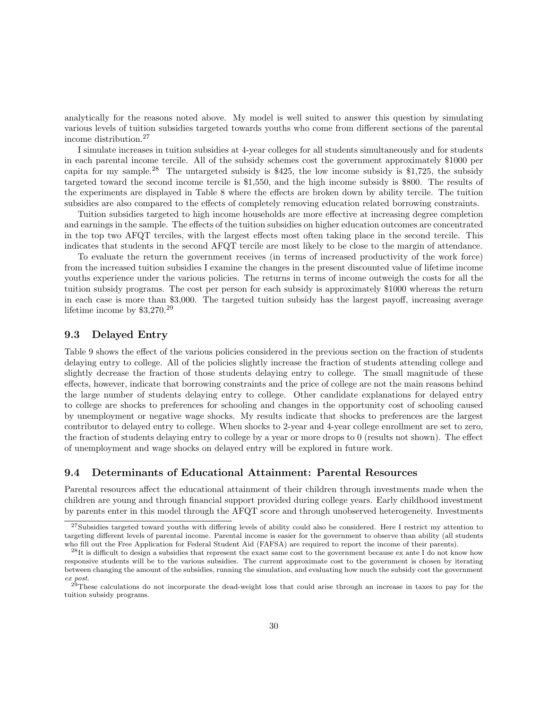analytically for the reasons noted above. My model is well suited to answer this question by simulating various levels of tuition subsidies targeted towards youths who come from different sections of the parental income distribution.<sup>27</sup>

I simulate increases in tuition subsidies at 4-year colleges for all students simultaneously and for students in each parental income tercile. All of the subsidy schemes cost the government approximately \$1000 per capita for my sample.<sup>28</sup> The untargeted subsidy is \$425, the low income subsidy is \$1,725, the subsidy targeted toward the second income tercile is \$1,550, and the high income subsidy is \$800. The results of the experiments are displayed in Table 8 where the effects are broken down by ability tercile. The tuition subsidies are also compared to the effects of completely removing education related borrowing constraints.

Tuition subsidies targeted to high income households are more effective at increasing degree completion and earnings in the sample. The effects of the tuition subsidies on higher education outcomes are concentrated in the top two AFQT terciles, with the largest effects most often taking place in the second tercile. This indicates that students in the second AFQT tercile are most likely to be close to the margin of attendance.

To evaluate the return the government receives (in terms of increased productivity of the work force) from the increased tuition subsidies I examine the changes in the present discounted value of lifetime income youths experience under the various policies. The returns in terms of income outweigh the costs for all the tuition subsidy programs. The cost per person for each subsidy is approximately \$1000 whereas the return in each case is more than \$3,000. The targeted tuition subsidy has the largest payoff, increasing average lifetime income by \$3,270.<sup>29</sup>

### 9.3 Delayed Entry

Table 9 shows the effect of the various policies considered in the previous section on the fraction of students delaying entry to college. All of the policies slightly increase the fraction of students attending college and slightly decrease the fraction of those students delaying entry to college. The small magnitude of these effects, however, indicate that borrowing constraints and the price of college are not the main reasons behind the large number of students delaying entry to college. Other candidate explanations for delayed entry to college are shocks to preferences for schooling and changes in the opportunity cost of schooling caused by unemployment or negative wage shocks. My results indicate that shocks to preferences are the largest contributor to delayed entry to college. When shocks to 2-year and 4-year college enrollment are set to zero, the fraction of students delaying entry to college by a year or more drops to 0 (results not shown). The effect of unemployment and wage shocks on delayed entry will be explored in future work.

### 9.4 Determinants of Educational Attainment: Parental Resources

Parental resources affect the educational attainment of their children through investments made when the children are young and through financial support provided during college years. Early childhood investment by parents enter in this model through the AFQT score and through unobserved heterogeneity. Investments

<sup>&</sup>lt;sup>27</sup>Subsidies targeted toward youths with differing levels of ability could also be considered. Here I restrict my attention to targeting different levels of parental income. Parental income is easier for the government to observe than ability (all students who fill out the Free Application for Federal Student Aid (FAFSA) are required to report the income of their parents).

 $^{28}$ It is difficult to design a subsidies that represent the exact same cost to the government because ex ante I do not know how responsive students will be to the various subsidies. The current approximate cost to the government is chosen by iterating between changing the amount of the subsidies, running the simulation, and evaluating how much the subsidy cost the government ex post.

<sup>&</sup>lt;sup>29</sup>These calculations do not incorporate the dead-weight loss that could arise through an increase in taxes to pay for the tuition subsidy programs.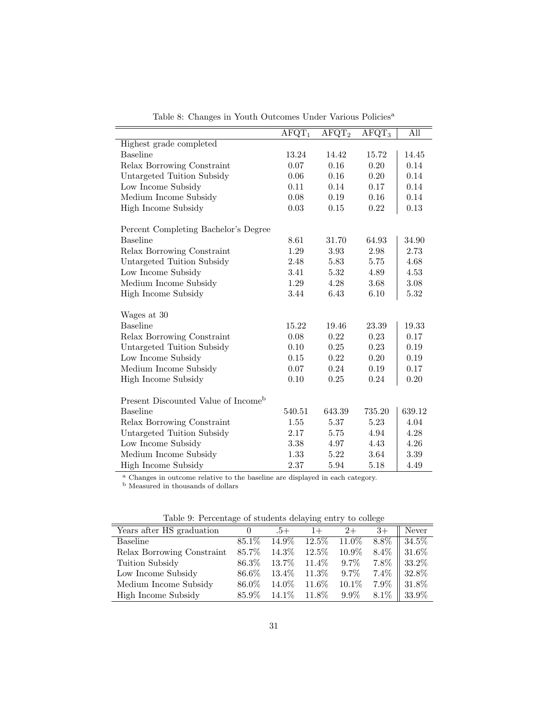|                                                 | $AFGT_1$ | $AFGT_2$ | $AFGT_3$ | All      |
|-------------------------------------------------|----------|----------|----------|----------|
| Highest grade completed                         |          |          |          |          |
| <b>Baseline</b>                                 | 13.24    | 14.42    | 15.72    | 14.45    |
| Relax Borrowing Constraint                      | 0.07     | 0.16     | 0.20     | $0.14\,$ |
| Untargeted Tuition Subsidy                      | 0.06     | 0.16     | 0.20     | 0.14     |
| Low Income Subsidy                              | 0.11     | 0.14     | 0.17     | 0.14     |
| Medium Income Subsidy                           | 0.08     | 0.19     | 0.16     | 0.14     |
| High Income Subsidy                             | 0.03     | 0.15     | 0.22     | 0.13     |
| Percent Completing Bachelor's Degree            |          |          |          |          |
| <b>Baseline</b>                                 | 8.61     | 31.70    | 64.93    | 34.90    |
| Relax Borrowing Constraint                      | 1.29     | 3.93     | 2.98     | 2.73     |
| Untargeted Tuition Subsidy                      | 2.48     | 5.83     | 5.75     | 4.68     |
| Low Income Subsidy                              | 3.41     | $5.32\,$ | 4.89     | 4.53     |
| Medium Income Subsidy                           | 1.29     | 4.28     | 3.68     | 3.08     |
| High Income Subsidy                             | 3.44     | 6.43     | 6.10     | 5.32     |
| Wages at 30                                     |          |          |          |          |
| <b>Baseline</b>                                 | 15.22    | 19.46    | 23.39    | 19.33    |
| Relax Borrowing Constraint                      | 0.08     | 0.22     | 0.23     | 0.17     |
| Untargeted Tuition Subsidy                      | 0.10     | 0.25     | 0.23     | 0.19     |
| Low Income Subsidy                              | 0.15     | 0.22     | 0.20     | 0.19     |
| Medium Income Subsidy                           | 0.07     | 0.24     | 0.19     | 0.17     |
| High Income Subsidy                             | 0.10     | 0.25     | 0.24     | 0.20     |
| Present Discounted Value of Income <sup>b</sup> |          |          |          |          |
| <b>Baseline</b>                                 | 540.51   | 643.39   | 735.20   | 639.12   |
| Relax Borrowing Constraint                      | 1.55     | 5.37     | 5.23     | 4.04     |
| Untargeted Tuition Subsidy                      | 2.17     | 5.75     | 4.94     | 4.28     |
| Low Income Subsidy                              | 3.38     | 4.97     | 4.43     | 4.26     |
| Medium Income Subsidy                           | 1.33     | 5.22     | 3.64     | 3.39     |
| High Income Subsidy                             | 2.37     | 5.94     | 5.18     | 4.49     |

Table 8: Changes in Youth Outcomes Under Various Policies<sup>a</sup>

<sup>a</sup> Changes in outcome relative to the baseline are displayed in each category.

<sup>b</sup> Measured in thousands of dollars

|                            | Table 0. I creditate of beautiful delaying enery to conce |          |          |         |         |       |  |  |  |  |
|----------------------------|-----------------------------------------------------------|----------|----------|---------|---------|-------|--|--|--|--|
| Years after HS graduation  | $\cup$                                                    | +6.      | $1+$     | $2+$    | $3+$    | Never |  |  |  |  |
| Baseline                   | 85.1\%                                                    | 14.9%    | $12.5\%$ | 11.0%   | 8.8%    | 34.5% |  |  |  |  |
| Relax Borrowing Constraint | 85.7%                                                     | 14.3%    | 12.5%    | 10.9%   | 8.4%    | 31.6% |  |  |  |  |
| Tuition Subsidy            | 86.3%                                                     | 13.7%    | 11.4\%   | $9.7\%$ | 7.8%    | 33.2% |  |  |  |  |
| Low Income Subsidy         | 86.6%                                                     | $13.4\%$ | 11.3\%   | $9.7\%$ | 7.4%    | 32.8% |  |  |  |  |
| Medium Income Subsidy      | 86.0%                                                     | 14.0\%   | 11.6%    | 10.1%   | 7.9%    | 31.8% |  |  |  |  |
| High Income Subsidy        | 85.9%                                                     | $14.1\%$ | 11.8%    | $9.9\%$ | $8.1\%$ | 33.9% |  |  |  |  |

Table 9: Percentage of students delaying entry to college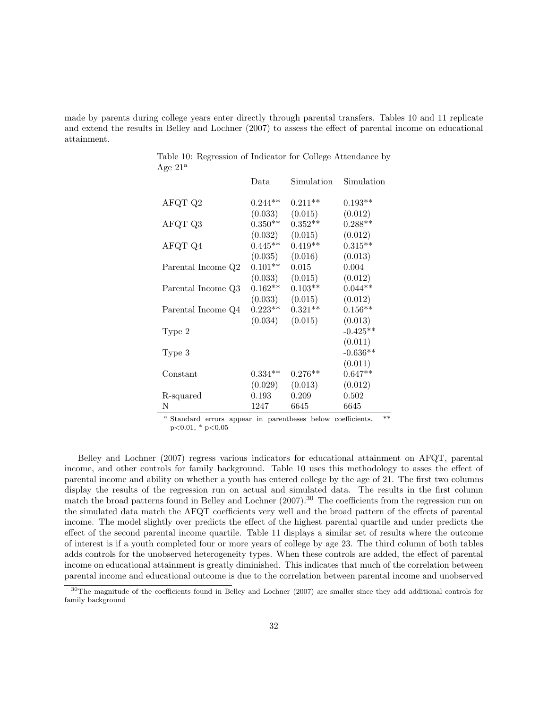made by parents during college years enter directly through parental transfers. Tables 10 and 11 replicate and extend the results in Belley and Lochner (2007) to assess the effect of parental income on educational attainment.

| -- 200             |           |             |            |
|--------------------|-----------|-------------|------------|
|                    | Data      | Simulation  | Simulation |
| AFQT Q2            | $0.244**$ | $0.211**$   | $0.193**$  |
|                    | (0.033)   | (0.015)     | (0.012)    |
| AFQT Q3            | $0.350**$ | $0.352**$   | $0.288**$  |
|                    | (0.032)   | (0.015)     | (0.012)    |
| AFQT Q4            | $0.445**$ | $0.419**$   | $0.315**$  |
|                    | (0.035)   | (0.016)     | (0.013)    |
| Parental Income Q2 | $0.101**$ | $\,0.015\,$ | 0.004      |
|                    | (0.033)   | (0.015)     | (0.012)    |
| Parental Income Q3 | $0.162**$ | $0.103**$   | $0.044**$  |
|                    | (0.033)   | (0.015)     | (0.012)    |
| Parental Income Q4 | $0.223**$ | $0.321**$   | $0.156**$  |
|                    | (0.034)   | (0.015)     | (0.013)    |
| Type 2             |           |             | $-0.425**$ |
|                    |           |             | (0.011)    |
| Type 3             |           |             | $-0.636**$ |
|                    |           |             | (0.011)    |
| Constant           | $0.334**$ | $0.276**$   | $0.647**$  |
|                    | (0.029)   | (0.013)     | (0.012)    |
| R-squared          | 0.193     | $0.209\,$   | 0.502      |
| Ν                  | 1247      | 6645        | 6645       |

Table 10: Regression of Indicator for College Attendance by Age  $21^a$ 

<sup>a</sup> Standard errors appear in parentheses below coefficients. \*\*  $p<0.01$ , \*  $p<0.05$ 

Belley and Lochner (2007) regress various indicators for educational attainment on AFQT, parental income, and other controls for family background. Table 10 uses this methodology to asses the effect of parental income and ability on whether a youth has entered college by the age of 21. The first two columns display the results of the regression run on actual and simulated data. The results in the first column match the broad patterns found in Belley and Lochner (2007).<sup>30</sup> The coefficients from the regression run on the simulated data match the AFQT coefficients very well and the broad pattern of the effects of parental income. The model slightly over predicts the effect of the highest parental quartile and under predicts the effect of the second parental income quartile. Table 11 displays a similar set of results where the outcome of interest is if a youth completed four or more years of college by age 23. The third column of both tables adds controls for the unobserved heterogeneity types. When these controls are added, the effect of parental income on educational attainment is greatly diminished. This indicates that much of the correlation between parental income and educational outcome is due to the correlation between parental income and unobserved

<sup>&</sup>lt;sup>30</sup>The magnitude of the coefficients found in Belley and Lochner (2007) are smaller since they add additional controls for family background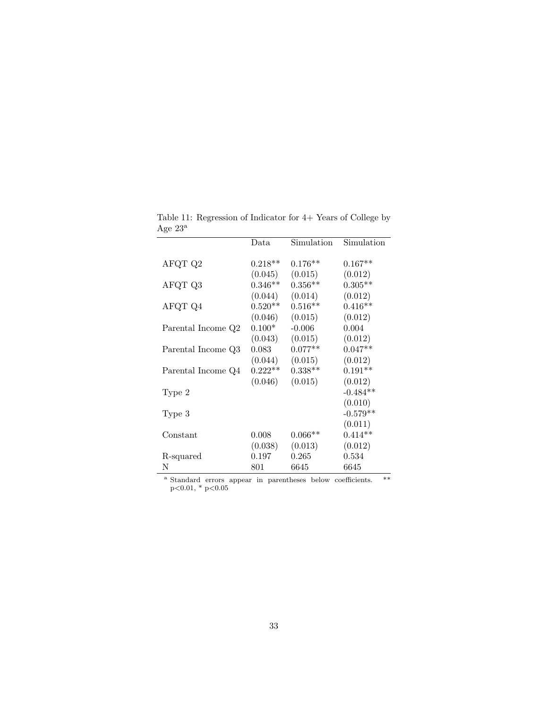|                    | $_{\text{Data}}$ | Simulation | Simulation |
|--------------------|------------------|------------|------------|
|                    | $0.218**$        |            | $0.167**$  |
| AFQT Q2            |                  | $0.176**$  |            |
|                    | (0.045)          | (0.015)    | (0.012)    |
| AFQT Q3            | $0.346**$        | $0.356**$  | $0.305**$  |
|                    | (0.044)          | (0.014)    | (0.012)    |
| AFQT Q4            | $0.520**$        | $0.516**$  | $0.416**$  |
|                    | (0.046)          | (0.015)    | (0.012)    |
| Parental Income Q2 | $0.100*$         | $-0.006$   | 0.004      |
|                    | (0.043)          | (0.015)    | (0.012)    |
| Parental Income Q3 | 0.083            | $0.077**$  | $0.047**$  |
|                    | (0.044)          | (0.015)    | (0.012)    |
| Parental Income Q4 | $0.222**$        | $0.338**$  | $0.191**$  |
|                    | (0.046)          | (0.015)    | (0.012)    |
| Type 2             |                  |            | $-0.484**$ |
|                    |                  |            | (0.010)    |
| Type 3             |                  |            | $-0.579**$ |
|                    |                  |            | (0.011)    |
| Constant           | 0.008            | $0.066**$  | $0.414**$  |
|                    | (0.038)          | (0.013)    | (0.012)    |
| R-squared          | 0.197            | 0.265      | 0.534      |
| Ν                  | 801              | 6645       | 6645       |
|                    |                  |            |            |

Table 11: Regression of Indicator for 4+ Years of College by Age $23^{\rm a}$ 

<sup>a</sup> Standard errors appear in parentheses below coefficients. \*\* p<0.01, \* p<0.05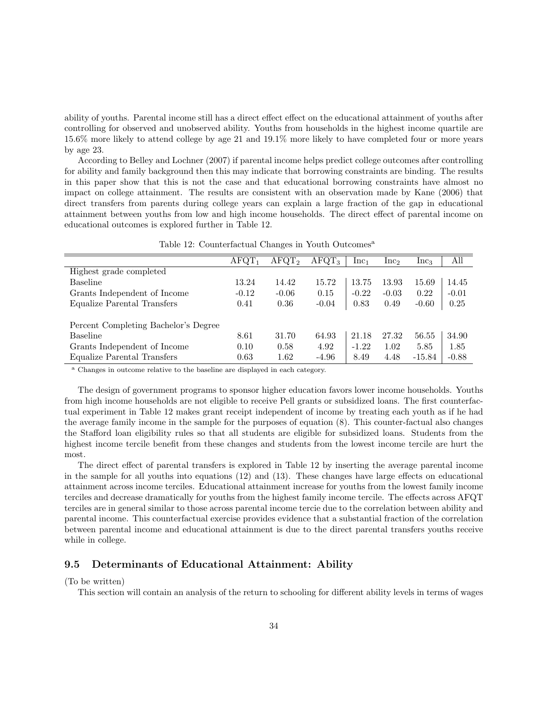ability of youths. Parental income still has a direct effect effect on the educational attainment of youths after controlling for observed and unobserved ability. Youths from households in the highest income quartile are 15.6% more likely to attend college by age 21 and 19.1% more likely to have completed four or more years by age 23.

According to Belley and Lochner (2007) if parental income helps predict college outcomes after controlling for ability and family background then this may indicate that borrowing constraints are binding. The results in this paper show that this is not the case and that educational borrowing constraints have almost no impact on college attainment. The results are consistent with an observation made by Kane (2006) that direct transfers from parents during college years can explain a large fraction of the gap in educational attainment between youths from low and high income households. The direct effect of parental income on educational outcomes is explored further in Table 12.

|                                      | $AFGT_1$ | $AFQT_2$ | $AFGT_3$ | $Inc_1$ | Inc <sub>2</sub> | $Inc_3$  | All     |
|--------------------------------------|----------|----------|----------|---------|------------------|----------|---------|
| Highest grade completed              |          |          |          |         |                  |          |         |
| Baseline                             | 13.24    | 14.42    | 15.72    | 13.75   | 13.93            | 15.69    | 14.45   |
| Grants Independent of Income         | $-0.12$  | $-0.06$  | 0.15     | $-0.22$ | $-0.03$          | 0.22     | $-0.01$ |
| Equalize Parental Transfers          | 0.41     | 0.36     | $-0.04$  | 0.83    | 0.49             | $-0.60$  | 0.25    |
|                                      |          |          |          |         |                  |          |         |
| Percent Completing Bachelor's Degree |          |          |          |         |                  |          |         |
| <b>Baseline</b>                      | 8.61     | 31.70    | 64.93    | 21.18   | 27.32            | 56.55    | 34.90   |
| Grants Independent of Income         | 0.10     | 0.58     | 4.92     | $-1.22$ | 1.02             | 5.85     | 1.85    |
| Equalize Parental Transfers          | 0.63     | 1.62     | $-4.96$  | 8.49    | 4.48             | $-15.84$ | $-0.88$ |

Table 12: Counterfactual Changes in Youth Outcomes<sup>a</sup>

<sup>a</sup> Changes in outcome relative to the baseline are displayed in each category.

The design of government programs to sponsor higher education favors lower income households. Youths from high income households are not eligible to receive Pell grants or subsidized loans. The first counterfactual experiment in Table 12 makes grant receipt independent of income by treating each youth as if he had the average family income in the sample for the purposes of equation (8). This counter-factual also changes the Stafford loan eligibility rules so that all students are eligible for subsidized loans. Students from the highest income tercile benefit from these changes and students from the lowest income tercile are hurt the most.

The direct effect of parental transfers is explored in Table 12 by inserting the average parental income in the sample for all youths into equations (12) and (13). These changes have large effects on educational attainment across income terciles. Educational attainment increase for youths from the lowest family income terciles and decrease dramatically for youths from the highest family income tercile. The effects across AFQT terciles are in general similar to those across parental income tercie due to the correlation between ability and parental income. This counterfactual exercise provides evidence that a substantial fraction of the correlation between parental income and educational attainment is due to the direct parental transfers youths receive while in college.

#### 9.5 Determinants of Educational Attainment: Ability

(To be written)

This section will contain an analysis of the return to schooling for different ability levels in terms of wages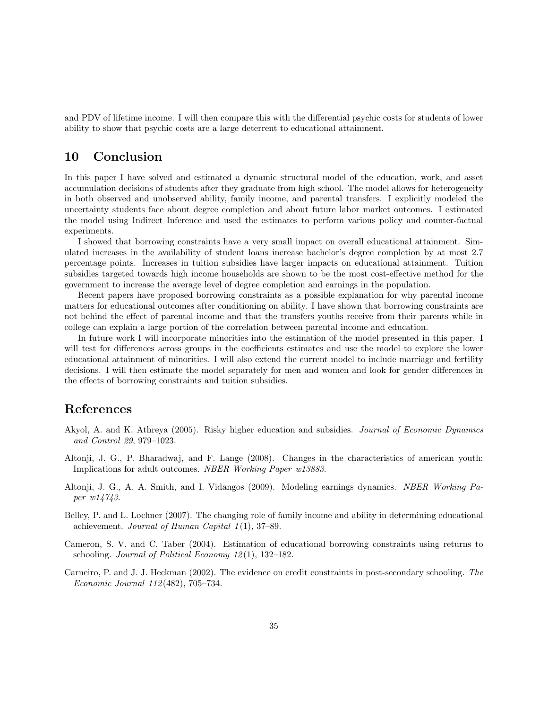and PDV of lifetime income. I will then compare this with the differential psychic costs for students of lower ability to show that psychic costs are a large deterrent to educational attainment.

## 10 Conclusion

In this paper I have solved and estimated a dynamic structural model of the education, work, and asset accumulation decisions of students after they graduate from high school. The model allows for heterogeneity in both observed and unobserved ability, family income, and parental transfers. I explicitly modeled the uncertainty students face about degree completion and about future labor market outcomes. I estimated the model using Indirect Inference and used the estimates to perform various policy and counter-factual experiments.

I showed that borrowing constraints have a very small impact on overall educational attainment. Simulated increases in the availability of student loans increase bachelor's degree completion by at most 2.7 percentage points. Increases in tuition subsidies have larger impacts on educational attainment. Tuition subsidies targeted towards high income households are shown to be the most cost-effective method for the government to increase the average level of degree completion and earnings in the population.

Recent papers have proposed borrowing constraints as a possible explanation for why parental income matters for educational outcomes after conditioning on ability. I have shown that borrowing constraints are not behind the effect of parental income and that the transfers youths receive from their parents while in college can explain a large portion of the correlation between parental income and education.

In future work I will incorporate minorities into the estimation of the model presented in this paper. I will test for differences across groups in the coefficients estimates and use the model to explore the lower educational attainment of minorities. I will also extend the current model to include marriage and fertility decisions. I will then estimate the model separately for men and women and look for gender differences in the effects of borrowing constraints and tuition subsidies.

## References

- Akyol, A. and K. Athreya (2005). Risky higher education and subsidies. Journal of Economic Dynamics and Control 29, 979–1023.
- Altonji, J. G., P. Bharadwaj, and F. Lange (2008). Changes in the characteristics of american youth: Implications for adult outcomes. NBER Working Paper w13883.
- Altonji, J. G., A. A. Smith, and I. Vidangos (2009). Modeling earnings dynamics. NBER Working Paper w14743.
- Belley, P. and L. Lochner (2007). The changing role of family income and ability in determining educational achievement. Journal of Human Capital  $1(1)$ , 37-89.
- Cameron, S. V. and C. Taber (2004). Estimation of educational borrowing constraints using returns to schooling. Journal of Political Economy  $12(1)$ , 132–182.
- Carneiro, P. and J. J. Heckman (2002). The evidence on credit constraints in post-secondary schooling. The Economic Journal 112 (482), 705–734.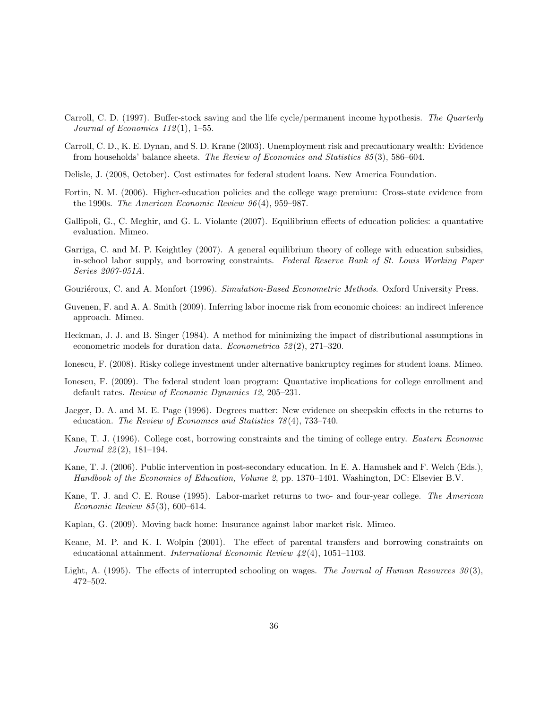- Carroll, C. D. (1997). Buffer-stock saving and the life cycle/permanent income hypothesis. The Quarterly Journal of Economics  $112(1)$ , 1–55.
- Carroll, C. D., K. E. Dynan, and S. D. Krane (2003). Unemployment risk and precautionary wealth: Evidence from households' balance sheets. The Review of Economics and Statistics 85 (3), 586–604.
- Delisle, J. (2008, October). Cost estimates for federal student loans. New America Foundation.
- Fortin, N. M. (2006). Higher-education policies and the college wage premium: Cross-state evidence from the 1990s. The American Economic Review 96 (4), 959–987.
- Gallipoli, G., C. Meghir, and G. L. Violante (2007). Equilibrium effects of education policies: a quantative evaluation. Mimeo.
- Garriga, C. and M. P. Keightley (2007). A general equilibrium theory of college with education subsidies, in-school labor supply, and borrowing constraints. Federal Reserve Bank of St. Louis Working Paper Series 2007-051A.
- Gouriéroux, C. and A. Monfort (1996). Simulation-Based Econometric Methods. Oxford University Press.
- Guvenen, F. and A. A. Smith (2009). Inferring labor inocme risk from economic choices: an indirect inference approach. Mimeo.
- Heckman, J. J. and B. Singer (1984). A method for minimizing the impact of distributional assumptions in econometric models for duration data. *Econometrica*  $52(2)$ , 271–320.
- Ionescu, F. (2008). Risky college investment under alternative bankruptcy regimes for student loans. Mimeo.
- Ionescu, F. (2009). The federal student loan program: Quantative implications for college enrollment and default rates. Review of Economic Dynamics 12, 205–231.
- Jaeger, D. A. and M. E. Page (1996). Degrees matter: New evidence on sheepskin effects in the returns to education. The Review of Economics and Statistics 78 (4), 733–740.
- Kane, T. J. (1996). College cost, borrowing constraints and the timing of college entry. Eastern Economic Journal 22 (2), 181–194.
- Kane, T. J. (2006). Public intervention in post-secondary education. In E. A. Hanushek and F. Welch (Eds.), Handbook of the Economics of Education, Volume 2, pp. 1370–1401. Washington, DC: Elsevier B.V.
- Kane, T. J. and C. E. Rouse (1995). Labor-market returns to two- and four-year college. The American Economic Review 85 (3), 600–614.
- Kaplan, G. (2009). Moving back home: Insurance against labor market risk. Mimeo.
- Keane, M. P. and K. I. Wolpin (2001). The effect of parental transfers and borrowing constraints on educational attainment. International Economic Review 42 (4), 1051–1103.
- Light, A. (1995). The effects of interrupted schooling on wages. The Journal of Human Resources  $30(3)$ , 472–502.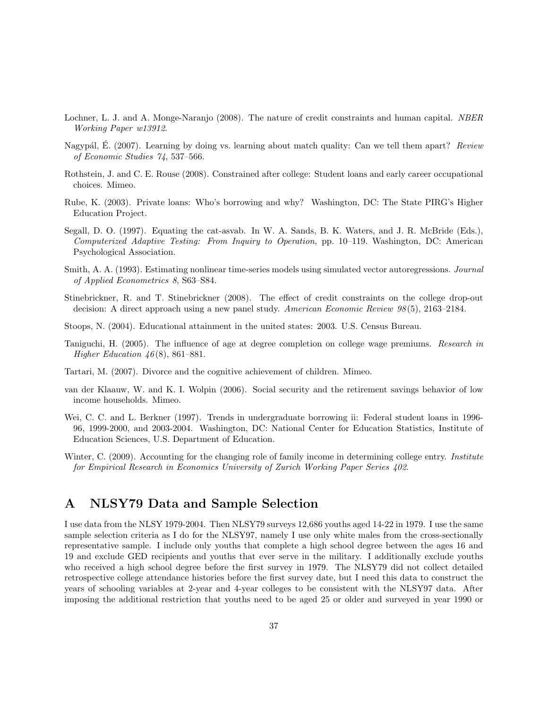- Lochner, L. J. and A. Monge-Naranjo (2008). The nature of credit constraints and human capital. NBER Working Paper w13912.
- Nagypál, E. (2007). Learning by doing vs. learning about match quality: Can we tell them apart? Review of Economic Studies 74, 537–566.
- Rothstein, J. and C. E. Rouse (2008). Constrained after college: Student loans and early career occupational choices. Mimeo.
- Rube, K. (2003). Private loans: Who's borrowing and why? Washington, DC: The State PIRG's Higher Education Project.
- Segall, D. O. (1997). Equating the cat-asvab. In W. A. Sands, B. K. Waters, and J. R. McBride (Eds.), Computerized Adaptive Testing: From Inquiry to Operation, pp. 10–119. Washington, DC: American Psychological Association.
- Smith, A. A. (1993). Estimating nonlinear time-series models using simulated vector autoregressions. Journal of Applied Econometrics 8, S63–S84.
- Stinebrickner, R. and T. Stinebrickner (2008). The effect of credit constraints on the college drop-out decision: A direct approach using a new panel study. American Economic Review 98(5), 2163–2184.
- Stoops, N. (2004). Educational attainment in the united states: 2003. U.S. Census Bureau.
- Taniguchi, H. (2005). The influence of age at degree completion on college wage premiums. Research in Higher Education  $46(8)$ , 861–881.
- Tartari, M. (2007). Divorce and the cognitive achievement of children. Mimeo.
- van der Klaauw, W. and K. I. Wolpin (2006). Social security and the retirement savings behavior of low income households. Mimeo.
- Wei, C. C. and L. Berkner (1997). Trends in undergraduate borrowing ii: Federal student loans in 1996- 96, 1999-2000, and 2003-2004. Washington, DC: National Center for Education Statistics, Institute of Education Sciences, U.S. Department of Education.
- Winter, C. (2009). Accounting for the changing role of family income in determining college entry. Institute for Empirical Research in Economics University of Zurich Working Paper Series 402.

## A NLSY79 Data and Sample Selection

I use data from the NLSY 1979-2004. Then NLSY79 surveys 12,686 youths aged 14-22 in 1979. I use the same sample selection criteria as I do for the NLSY97, namely I use only white males from the cross-sectionally representative sample. I include only youths that complete a high school degree between the ages 16 and 19 and exclude GED recipients and youths that ever serve in the military. I additionally exclude youths who received a high school degree before the first survey in 1979. The NLSY79 did not collect detailed retrospective college attendance histories before the first survey date, but I need this data to construct the years of schooling variables at 2-year and 4-year colleges to be consistent with the NLSY97 data. After imposing the additional restriction that youths need to be aged 25 or older and surveyed in year 1990 or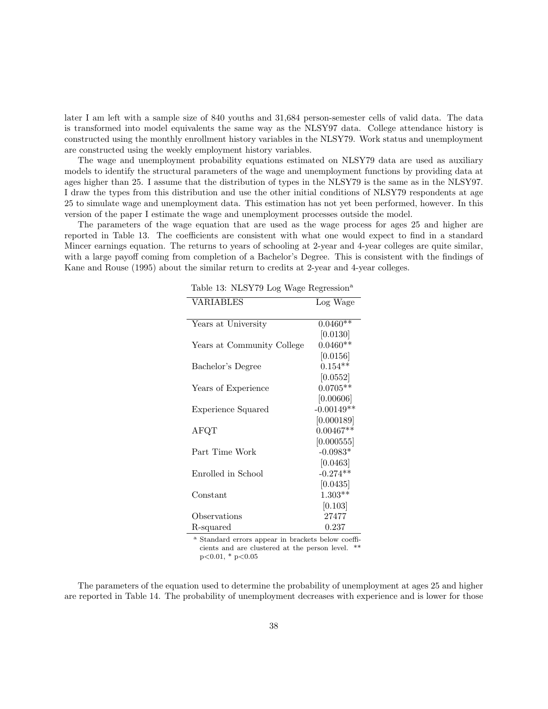later I am left with a sample size of 840 youths and 31,684 person-semester cells of valid data. The data is transformed into model equivalents the same way as the NLSY97 data. College attendance history is constructed using the monthly enrollment history variables in the NLSY79. Work status and unemployment are constructed using the weekly employment history variables.

The wage and unemployment probability equations estimated on NLSY79 data are used as auxiliary models to identify the structural parameters of the wage and unemployment functions by providing data at ages higher than 25. I assume that the distribution of types in the NLSY79 is the same as in the NLSY97. I draw the types from this distribution and use the other initial conditions of NLSY79 respondents at age 25 to simulate wage and unemployment data. This estimation has not yet been performed, however. In this version of the paper I estimate the wage and unemployment processes outside the model.

The parameters of the wage equation that are used as the wage process for ages 25 and higher are reported in Table 13. The coefficients are consistent with what one would expect to find in a standard Mincer earnings equation. The returns to years of schooling at 2-year and 4-year colleges are quite similar, with a large payoff coming from completion of a Bachelor's Degree. This is consistent with the findings of Kane and Rouse (1995) about the similar return to credits at 2-year and 4-year colleges.

| <b>VARIABLES</b>           | Log Wage     |
|----------------------------|--------------|
|                            |              |
| Years at University        | $0.0460**$   |
|                            | [0.0130]     |
| Years at Community College | $0.0460**$   |
|                            | [0.0156]     |
| Bachelor's Degree          | $0.154**$    |
|                            | [0.0552]     |
| Years of Experience        | $0.0705**$   |
|                            | [0.00606]    |
| Experience Squared         | $-0.00149**$ |
|                            | [0.000189]   |
| ${\rm AFQT}$               | $0.00467**$  |
|                            | [0.000555]   |
| Part Time Work             | $-0.0983*$   |
|                            | [0.0463]     |
| Enrolled in School         | $-0.274**$   |
|                            | [0.0435]     |
| Constant                   | $1.303**$    |
|                            | [0.103]      |
| Observations               | 27477        |
| R-squared                  | 0.237        |

Table 13: NLSY79 Log Wage Regression<sup>a</sup>

<sup>a</sup> Standard errors appear in brackets below coefficients and are clustered at the person level. \*\*  $p<0.01$ , \*  $p<0.05$ 

The parameters of the equation used to determine the probability of unemployment at ages 25 and higher are reported in Table 14. The probability of unemployment decreases with experience and is lower for those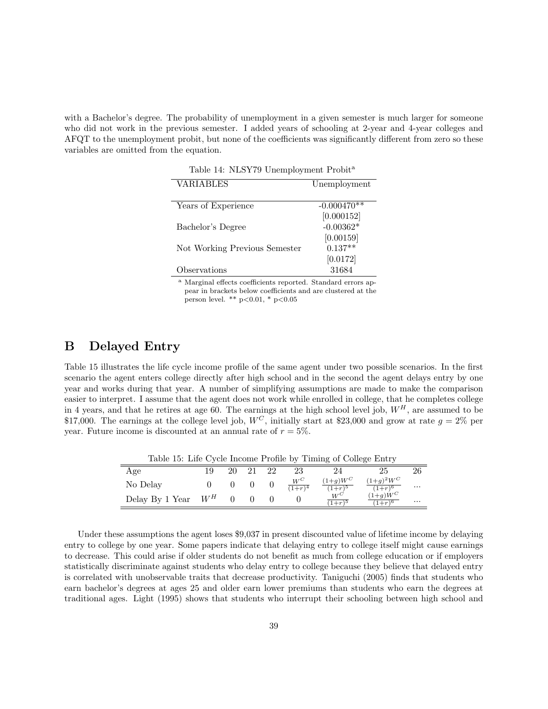with a Bachelor's degree. The probability of unemployment in a given semester is much larger for someone who did not work in the previous semester. I added years of schooling at 2-year and 4-year colleges and AFQT to the unemployment probit, but none of the coefficients was significantly different from zero so these variables are omitted from the equation.

| Table 14: NLSY79 Unemployment Probit <sup>a</sup> |               |  |  |
|---------------------------------------------------|---------------|--|--|
| VARIABLES                                         | Unemployment  |  |  |
|                                                   |               |  |  |
| Years of Experience                               | $-0.000470**$ |  |  |
|                                                   | [0.000152]    |  |  |
| Bachelor's Degree                                 | $-0.00362*$   |  |  |
|                                                   | [0.00159]     |  |  |
| Not Working Previous Semester                     | $0.137**$     |  |  |
|                                                   | [0.0172]      |  |  |
| Observations                                      | 31684         |  |  |
| <b>PREPTION</b>                                   |               |  |  |

<sup>a</sup> Marginal effects coefficients reported. Standard errors appear in brackets below coefficients and are clustered at the person level. \*\*  $p<0.01$ , \*  $p<0.05$ 

## B Delayed Entry

Table 15 illustrates the life cycle income profile of the same agent under two possible scenarios. In the first scenario the agent enters college directly after high school and in the second the agent delays entry by one year and works during that year. A number of simplifying assumptions are made to make the comparison easier to interpret. I assume that the agent does not work while enrolled in college, that he completes college in 4 years, and that he retires at age 60. The earnings at the high school level job,  $W^H$ , are assumed to be \$17,000. The earnings at the college level job,  $W^C$ , initially start at \$23,000 and grow at rate  $g = 2\%$  per year. Future income is discounted at an annual rate of  $r = 5\%$ .

| Table 15: Life Cycle Income Profile by Timing of College Entry |  |    |      |    |                       |                               |                           |          |
|----------------------------------------------------------------|--|----|------|----|-----------------------|-------------------------------|---------------------------|----------|
| Age                                                            |  | 20 | - 21 | 22 | 23                    | 24                            | 25                        | 26       |
| No Delay                                                       |  |    |      |    | $\frac{W^C}{(1+r)^4}$ | $(1+g)W^C$<br>$(1+r)^5$       | $(1+g)^2W^C$<br>$(1+r)^6$ | $\cdots$ |
| Delay By 1 Year $W^H$                                          |  |    |      |    |                       | $W^{\mathbb{C}}$<br>$(1+r)^5$ | $(1+g)W^C$<br>$(1+r)^6$   | $\cdots$ |

Under these assumptions the agent loses \$9,037 in present discounted value of lifetime income by delaying entry to college by one year. Some papers indicate that delaying entry to college itself might cause earnings to decrease. This could arise if older students do not benefit as much from college education or if employers statistically discriminate against students who delay entry to college because they believe that delayed entry is correlated with unobservable traits that decrease productivity. Taniguchi (2005) finds that students who earn bachelor's degrees at ages 25 and older earn lower premiums than students who earn the degrees at traditional ages. Light (1995) shows that students who interrupt their schooling between high school and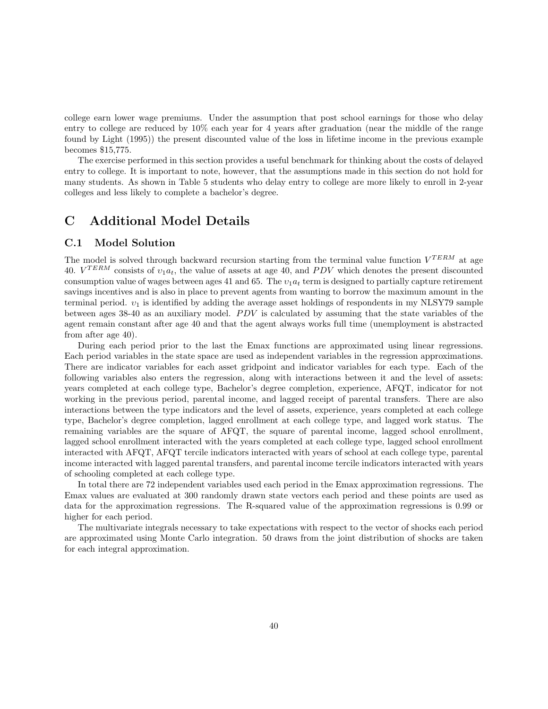college earn lower wage premiums. Under the assumption that post school earnings for those who delay entry to college are reduced by 10% each year for 4 years after graduation (near the middle of the range found by Light (1995)) the present discounted value of the loss in lifetime income in the previous example becomes \$15,775.

The exercise performed in this section provides a useful benchmark for thinking about the costs of delayed entry to college. It is important to note, however, that the assumptions made in this section do not hold for many students. As shown in Table 5 students who delay entry to college are more likely to enroll in 2-year colleges and less likely to complete a bachelor's degree.

## C Additional Model Details

#### C.1 Model Solution

The model is solved through backward recursion starting from the terminal value function  $V^{TERM}$  at age 40.  $V^{TERM}$  consists of  $v_1a_t$ , the value of assets at age 40, and PDV which denotes the present discounted consumption value of wages between ages 41 and 65. The  $v_1a_t$  term is designed to partially capture retirement savings incentives and is also in place to prevent agents from wanting to borrow the maximum amount in the terminal period.  $v_1$  is identified by adding the average asset holdings of respondents in my NLSY79 sample between ages  $38-40$  as an auxiliary model. *PDV* is calculated by assuming that the state variables of the agent remain constant after age 40 and that the agent always works full time (unemployment is abstracted from after age 40).

During each period prior to the last the Emax functions are approximated using linear regressions. Each period variables in the state space are used as independent variables in the regression approximations. There are indicator variables for each asset gridpoint and indicator variables for each type. Each of the following variables also enters the regression, along with interactions between it and the level of assets: years completed at each college type, Bachelor's degree completion, experience, AFQT, indicator for not working in the previous period, parental income, and lagged receipt of parental transfers. There are also interactions between the type indicators and the level of assets, experience, years completed at each college type, Bachelor's degree completion, lagged enrollment at each college type, and lagged work status. The remaining variables are the square of AFQT, the square of parental income, lagged school enrollment, lagged school enrollment interacted with the years completed at each college type, lagged school enrollment interacted with AFQT, AFQT tercile indicators interacted with years of school at each college type, parental income interacted with lagged parental transfers, and parental income tercile indicators interacted with years of schooling completed at each college type.

In total there are 72 independent variables used each period in the Emax approximation regressions. The Emax values are evaluated at 300 randomly drawn state vectors each period and these points are used as data for the approximation regressions. The R-squared value of the approximation regressions is 0.99 or higher for each period.

The multivariate integrals necessary to take expectations with respect to the vector of shocks each period are approximated using Monte Carlo integration. 50 draws from the joint distribution of shocks are taken for each integral approximation.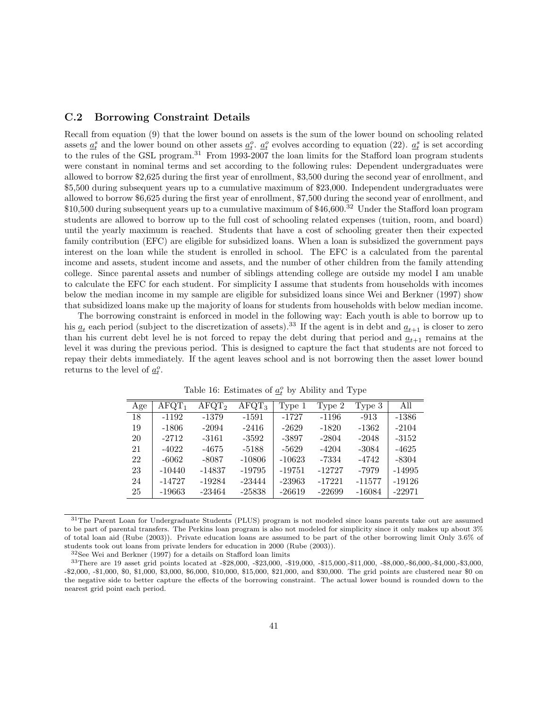### C.2 Borrowing Constraint Details

Recall from equation (9) that the lower bound on assets is the sum of the lower bound on schooling related assets  $\underline{a}_t^s$  and the lower bound on other assets  $\underline{a}_t^o$ .  $\underline{a}_t^o$  evolves according to equation (22).  $\underline{a}_t^s$  is set according to the rules of the GSL program.<sup>31</sup> From 1993-2007 the loan limits for the Stafford loan program students were constant in nominal terms and set according to the following rules: Dependent undergraduates were allowed to borrow \$2,625 during the first year of enrollment, \$3,500 during the second year of enrollment, and \$5,500 during subsequent years up to a cumulative maximum of \$23,000. Independent undergraduates were allowed to borrow \$6,625 during the first year of enrollment, \$7,500 during the second year of enrollment, and \$10,500 during subsequent years up to a cumulative maximum of \$46,600.<sup>32</sup> Under the Stafford loan program students are allowed to borrow up to the full cost of schooling related expenses (tuition, room, and board) until the yearly maximum is reached. Students that have a cost of schooling greater then their expected family contribution (EFC) are eligible for subsidized loans. When a loan is subsidized the government pays interest on the loan while the student is enrolled in school. The EFC is a calculated from the parental income and assets, student income and assets, and the number of other children from the family attending college. Since parental assets and number of siblings attending college are outside my model I am unable to calculate the EFC for each student. For simplicity I assume that students from households with incomes below the median income in my sample are eligible for subsidized loans since Wei and Berkner (1997) show that subsidized loans make up the majority of loans for students from households with below median income.

The borrowing constraint is enforced in model in the following way: Each youth is able to borrow up to his  $\underline{a}_t$  each period (subject to the discretization of assets).<sup>33</sup> If the agent is in debt and  $\underline{a}_{t+1}$  is closer to zero than his current debt level he is not forced to repay the debt during that period and  $a_{t+1}$  remains at the level it was during the previous period. This is designed to capture the fact that students are not forced to repay their debts immediately. If the agent leaves school and is not borrowing then the asset lower bound returns to the level of  $\underline{a}_t^o$ .

| Age | $AFGT_1$ | AFQT <sub>2</sub> | $AFGT_3$ | Type 1   | Type 2   | Type 3   | All      |
|-----|----------|-------------------|----------|----------|----------|----------|----------|
| 18  | $-1192$  | -1379             | $-1591$  | $-1727$  | $-1196$  | $-913$   | -1386    |
| 19  | $-1806$  | $-2094$           | $-2416$  | $-2629$  | $-1820$  | $-1362$  | $-2104$  |
| 20  | $-2712$  | $-3161$           | $-3592$  | -3897    | $-2804$  | $-2048$  | $-3152$  |
| 21  | $-4022$  | $-4675$           | $-5188$  | $-5629$  | $-4204$  | $-3084$  | $-4625$  |
| 22  | $-6062$  | $-8087$           | $-10806$ | $-10623$ | -7334    | -4742    | $-8304$  |
| 23  | $-10440$ | $-14837$          | $-19795$ | $-19751$ | $-12727$ | -7979    | $-14995$ |
| 24  | $-14727$ | $-19284$          | $-23444$ | $-23963$ | $-17221$ | $-11577$ | $-19126$ |
| 25  | $-19663$ | $-23464$          | $-25838$ | $-26619$ | $-22699$ | $-16084$ | $-22971$ |

Table 16: Estimates of  $\underline{a}^o_t$  by Ability and Type

<sup>32</sup>See Wei and Berkner (1997) for a details on Stafford loan limits

<sup>31</sup>The Parent Loan for Undergraduate Students (PLUS) program is not modeled since loans parents take out are assumed to be part of parental transfers. The Perkins loan program is also not modeled for simplicity since it only makes up about 3% of total loan aid (Rube (2003)). Private education loans are assumed to be part of the other borrowing limit Only 3.6% of students took out loans from private lenders for education in 2000 (Rube (2003)).

<sup>33</sup>There are 19 asset grid points located at -\$28,000, -\$23,000, -\$19,000, -\$15,000,-\$11,000, -\$8,000,-\$6,000,-\$4,000,-\$3,000, -\$2,000, -\$1,000, \$0, \$1,000, \$3,000, \$6,000, \$10,000, \$15,000, \$21,000, and \$30,000. The grid points are clustered near \$0 on the negative side to better capture the effects of the borrowing constraint. The actual lower bound is rounded down to the nearest grid point each period.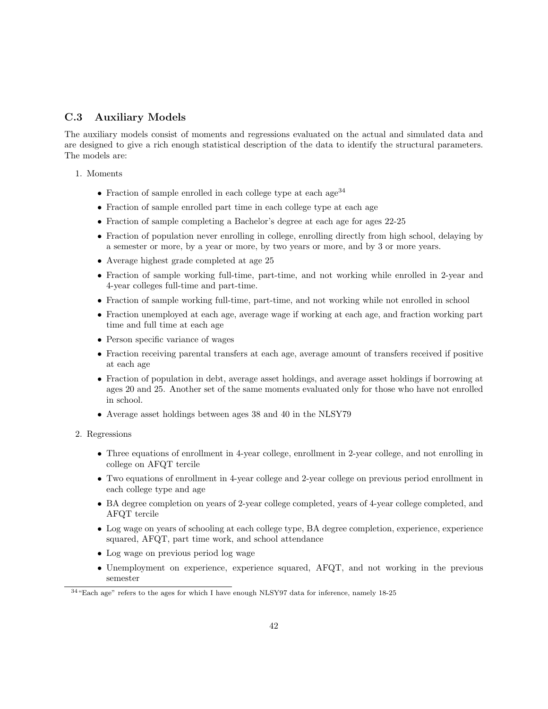### C.3 Auxiliary Models

The auxiliary models consist of moments and regressions evaluated on the actual and simulated data and are designed to give a rich enough statistical description of the data to identify the structural parameters. The models are:

- 1. Moments
	- Fraction of sample enrolled in each college type at each age<sup>34</sup>
	- Fraction of sample enrolled part time in each college type at each age
	- Fraction of sample completing a Bachelor's degree at each age for ages 22-25
	- Fraction of population never enrolling in college, enrolling directly from high school, delaying by a semester or more, by a year or more, by two years or more, and by 3 or more years.
	- Average highest grade completed at age 25
	- Fraction of sample working full-time, part-time, and not working while enrolled in 2-year and 4-year colleges full-time and part-time.
	- Fraction of sample working full-time, part-time, and not working while not enrolled in school
	- Fraction unemployed at each age, average wage if working at each age, and fraction working part time and full time at each age
	- Person specific variance of wages
	- Fraction receiving parental transfers at each age, average amount of transfers received if positive at each age
	- Fraction of population in debt, average asset holdings, and average asset holdings if borrowing at ages 20 and 25. Another set of the same moments evaluated only for those who have not enrolled in school.
	- Average asset holdings between ages 38 and 40 in the NLSY79
- 2. Regressions
	- Three equations of enrollment in 4-year college, enrollment in 2-year college, and not enrolling in college on AFQT tercile
	- Two equations of enrollment in 4-year college and 2-year college on previous period enrollment in each college type and age
	- BA degree completion on years of 2-year college completed, years of 4-year college completed, and AFQT tercile
	- Log wage on years of schooling at each college type, BA degree completion, experience, experience squared, AFQT, part time work, and school attendance
	- Log wage on previous period log wage
	- Unemployment on experience, experience squared, AFQT, and not working in the previous semester

 $^{34}$  "Each age" refers to the ages for which I have enough NLSY97 data for inference, namely  $18\text{-}25$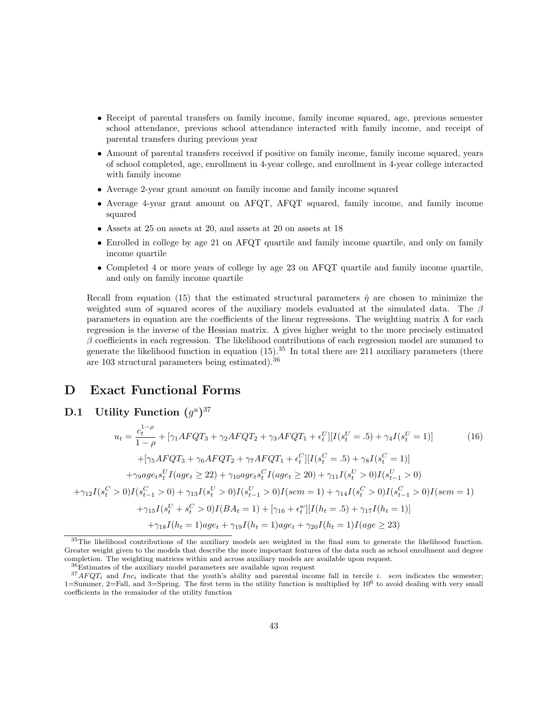- Receipt of parental transfers on family income, family income squared, age, previous semester school attendance, previous school attendance interacted with family income, and receipt of parental transfers during previous year
- Amount of parental transfers received if positive on family income, family income squared, years of school completed, age, enrollment in 4-year college, and enrollment in 4-year college interacted with family income
- Average 2-year grant amount on family income and family income squared
- Average 4-year grant amount on AFQT, AFQT squared, family income, and family income squared
- Assets at 25 on assets at 20, and assets at 20 on assets at 18
- Enrolled in college by age 21 on AFQT quartile and family income quartile, and only on family income quartile
- Completed 4 or more years of college by age 23 on AFQT quartile and family income quartile, and only on family income quartile

Recall from equation (15) that the estimated structural parameters  $\hat{\eta}$  are chosen to minimize the weighted sum of squared scores of the auxiliary models evaluated at the simulated data. The  $\beta$ parameters in equation are the coefficients of the linear regressions. The weighting matrix  $\Lambda$  for each regression is the inverse of the Hessian matrix. Λ gives higher weight to the more precisely estimated  $\beta$  coefficients in each regression. The likelihood contributions of each regression model are summed to generate the likelihood function in equation  $(15)$ .<sup>35</sup> In total there are 211 auxiliary parameters (there are 103 structural parameters being estimated).<sup>36</sup>

### D Exact Functional Forms

**D.1** Utility Function  $(g^u)^{37}$ 

 $+$ 

$$
u_{t} = \frac{c_{t}^{1-\rho}}{1-\rho} + [\gamma_{1}A F Q T_{3} + \gamma_{2}A F Q T_{2} + \gamma_{3}A F Q T_{1} + \epsilon_{t}^{U}] [I(s_{t}^{U} = .5) + \gamma_{4} I(s_{t}^{U} = 1)] \qquad (16)
$$

$$
+ [\gamma_{5}A F Q T_{3} + \gamma_{6}A F Q T_{2} + \gamma_{7}A F Q T_{1} + \epsilon_{t}^{C}] [I(s_{t}^{C} = .5) + \gamma_{8} I(s_{t}^{C} = 1)]
$$

$$
+ \gamma_{9}age_{t} s_{t}^{U} I(age_{t} \ge 22) + \gamma_{10} age_{t} s_{t}^{C} I(age_{t} \ge 20) + \gamma_{11} I(s_{t}^{U} > 0) I(s_{t-1}^{U} > 0)
$$

$$
\gamma_{12} I(s_{t}^{C} > 0) I(s_{t-1}^{C} > 0) + \gamma_{13} I(s_{t}^{U} > 0) I(s_{t-1}^{U} > 0) I(sem = 1) + \gamma_{14} I(s_{t}^{C} > 0) I(s_{t-1}^{C} > 0) I(sem = 1)
$$

$$
+ \gamma_{15} I(s_{t}^{U} + s_{t}^{C} > 0) I(BA_{t} = 1) + [\gamma_{16} + \epsilon_{t}^{w}] [I(h_{t} = .5) + \gamma_{17} I(h_{t} = 1)]
$$

$$
+ \gamma_{18} I(h_{t} = 1) age_{t} + \gamma_{19} I(h_{t} = 1) age_{t} + \gamma_{20} I(h_{t} = 1) I(age \ge 23)
$$

<sup>&</sup>lt;sup>35</sup>The likelihood contributions of the auxiliary models are weighted in the final sum to generate the likelihood function. Greater weight given to the models that describe the more important features of the data such as school enrollment and degree completion. The weighting matrices within and across auxiliary models are available upon request.

<sup>36</sup>Estimates of the auxiliary model parameters are available upon request

 $37 A F Q T_i$  and  $Inc_i$  indicate that the youth's ability and parental income fall in tercile i. sem indicates the semester;  $1 = \text{Summer}, 2 = \text{Fall}, \text{and } 3 = \text{Spring}.$  The first term in the utility function is multiplied by  $10^6$  to avoid dealing with very small coefficients in the remainder of the utility function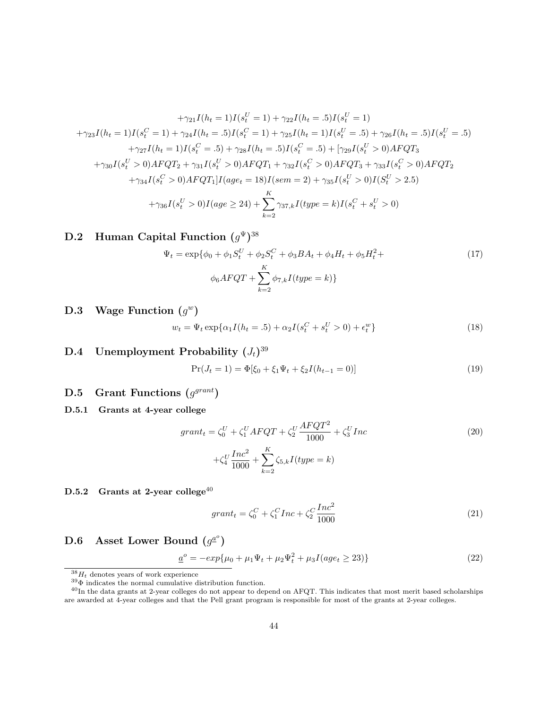$$
+ \gamma_{21}I(h_t = 1)I(s_t^U = 1) + \gamma_{22}I(h_t = .5)I(s_t^U = 1)
$$
  
\n
$$
+ \gamma_{23}I(h_t = 1)I(s_t^C = 1) + \gamma_{24}I(h_t = .5)I(s_t^C = 1) + \gamma_{25}I(h_t = 1)I(s_t^U = .5) + \gamma_{26}I(h_t = .5)I(s_t^U = .5)
$$
  
\n
$$
+ \gamma_{27}I(h_t = 1)I(s_t^C = .5) + \gamma_{28}I(h_t = .5)I(s_t^C = .5) + [\gamma_{29}I(s_t^U > 0)AFQT_3
$$
  
\n
$$
+ \gamma_{30}I(s_t^U > 0)AFQT_2 + \gamma_{31}I(s_t^U > 0)AFQT_1 + \gamma_{32}I(s_t^C > 0)AFQT_3 + \gamma_{33}I(s_t^C > 0)AFQT_2
$$
  
\n
$$
+ \gamma_{34}I(s_t^C > 0)AFQT_1]I(age_t = 18)I(sem = 2) + \gamma_{35}I(s_t^U > 0)I(S_t^U > 2.5)
$$
  
\n
$$
+ \gamma_{36}I(s_t^U > 0)I(age \ge 24) + \sum_{k=2}^K \gamma_{37,k}I(type = k)I(s_t^C + s_t^U > 0)
$$

### D.2 Human Capital Function  $(g^{\Psi})^{38}$

$$
\Psi_t = \exp\{\phi_0 + \phi_1 S_t^U + \phi_2 S_t^C + \phi_3 BA_t + \phi_4 H_t + \phi_5 H_t^2 +
$$
\n
$$
\phi_6 A F Q T + \sum_{k=2}^K \phi_{7,k} I(t y p e = k) \}
$$
\n(17)

**D.3** Wage Function  $(g^w)$ 

$$
w_t = \Psi_t \exp\{\alpha_1 I(h_t = .5) + \alpha_2 I(s_t^C + s_t^U > 0) + \epsilon_t^w\}
$$
\n(18)

## $\mathbf{D.4} \quad$  Unemployment Probability  $(J_t)^{39}$

$$
Pr(J_t = 1) = \Phi[\xi_0 + \xi_1 \Psi_t + \xi_2 I(h_{t-1} = 0)]
$$
\n(19)

### **D.5** Grant Functions  $(g^{grant})$

D.5.1 Grants at 4-year college

$$
grant_{t} = \zeta_{0}^{U} + \zeta_{1}^{U} A F Q T + \zeta_{2}^{U} \frac{A F Q T^{2}}{1000} + \zeta_{3}^{U} Inc
$$
\n
$$
+ \zeta_{4}^{U} \frac{Inc^{2}}{1000} + \sum_{k=2}^{K} \zeta_{5,k} I(type = k)
$$
\n(20)

D.5.2 Grants at 2-year college<sup>40</sup>

$$
grant_t = \zeta_0^C + \zeta_1^C Inc + \zeta_2^C \frac{Inc^2}{1000}
$$
\n(21)

D.6 Asset Lower Bound  $(g^{\underline{a}^o})$ 

$$
\underline{a}^{\circ} = -\exp\{\mu_0 + \mu_1 \Psi_t + \mu_2 \Psi_t^2 + \mu_3 I(\text{age}_t \ge 23)\}\tag{22}
$$

 $38H_t$  denotes years of work experience

 $^{39}\Phi$  indicates the normal cumulative distribution function.

<sup>40</sup>In the data grants at 2-year colleges do not appear to depend on AFQT. This indicates that most merit based scholarships are awarded at 4-year colleges and that the Pell grant program is responsible for most of the grants at 2-year colleges.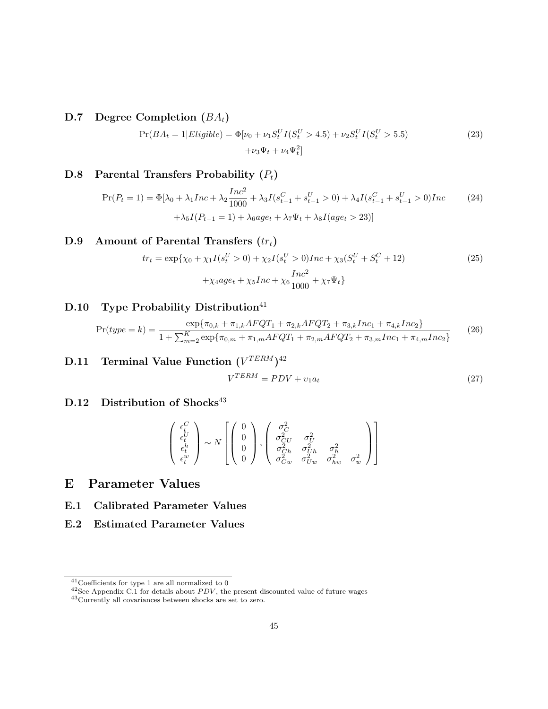D.7 Degree Completion  $(BA_t)$ 

$$
Pr(BA_t = 1|Eligible) = \Phi[\nu_0 + \nu_1 S_t^U I(S_t^U > 4.5) + \nu_2 S_t^U I(S_t^U > 5.5) + \nu_3 \Psi_t + \nu_4 \Psi_t^2]
$$
\n(23)

## D.8 Parental Transfers Probability  $(P_t)$

$$
\Pr(P_t = 1) = \Phi[\lambda_0 + \lambda_1 Inc + \lambda_2 \frac{Inc^2}{1000} + \lambda_3 I(s_{t-1}^C + s_{t-1}^U > 0) + \lambda_4 I(s_{t-1}^C + s_{t-1}^U > 0)Inc
$$
\n
$$
+ \lambda_5 I(P_{t-1} = 1) + \lambda_6 age_t + \lambda_7 \Psi_t + \lambda_8 I(age_t > 23)]
$$
\n(24)

## D.9 Amount of Parental Transfers  $(tr_t)$

$$
tr_{t} = \exp\{\chi_{0} + \chi_{1}I(s_{t}^{U} > 0) + \chi_{2}I(s_{t}^{U} > 0)Inc + \chi_{3}(S_{t}^{U} + S_{t}^{C} + 12) + \chi_{4}age_{t} + \chi_{5}Inc + \chi_{6}\frac{Inc^{2}}{1000} + \chi_{7}\Psi_{t}\}
$$
\n
$$
(25)
$$

# D.10 Type Probability Distribution<sup>41</sup>

$$
Pr(type = k) = \frac{\exp{\{\pi_{0,k} + \pi_{1,k}AFQT_1 + \pi_{2,k}AFQT_2 + \pi_{3,k}Inc_1 + \pi_{4,k}Inc_2\}}{1 + \sum_{m=2}^{K} \exp{\{\pi_{0,m} + \pi_{1,m}AFQT_1 + \pi_{2,m}AFQT_2 + \pi_{3,m}Inc_1 + \pi_{4,m}Inc_2\}}\tag{26}
$$

 $\textbf{D.11}$  Terminal Value Function  $(V^{TERM})^{42}$  $V^{TERM} = PDV + v_1 a_t$  (27)

### D.12 Distribution of Shocks<sup>43</sup>

$$
\begin{pmatrix}\n\epsilon_t^C \\
\epsilon_t^U \\
\epsilon_t^h \\
\epsilon_t^w\n\end{pmatrix}\n\sim N\left[\n\begin{pmatrix}\n0 \\
0 \\
0 \\
0\n\end{pmatrix},\n\begin{pmatrix}\n\sigma_C^2 \\
\sigma_{CU}^2 & \sigma_U^2 \\
\sigma_{Ch}^2 & \sigma_{Uh}^2 & \sigma_h^2 \\
\sigma_{Cu}^2 & \sigma_{Uw}^2 & \sigma_{lw}^2 & \sigma_w^2\n\end{pmatrix}\n\right]
$$

# E Parameter Values

- E.1 Calibrated Parameter Values
- E.2 Estimated Parameter Values

 $\rm ^{41}Coefficients$  for type 1 are all normalized to  $0$ 

 $42$ See Appendix C.1 for details about *PDV*, the present discounted value of future wages

<sup>43</sup>Currently all covariances between shocks are set to zero.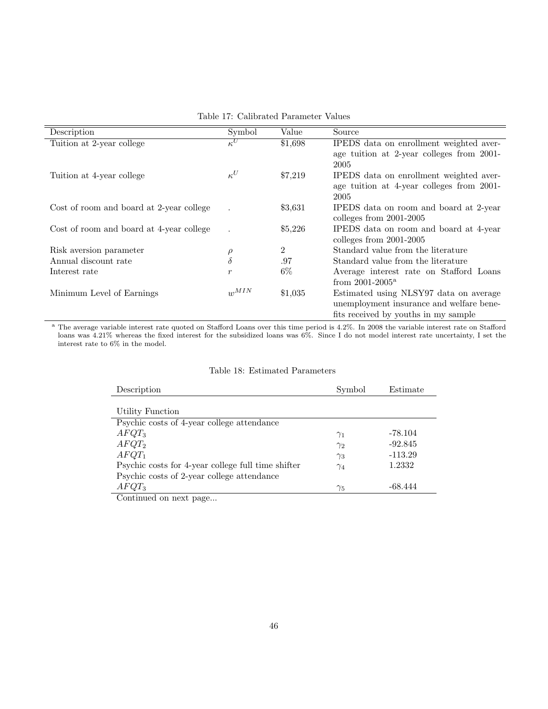| Description                              | Symbol           | Value          | Source                                    |
|------------------------------------------|------------------|----------------|-------------------------------------------|
| Tuition at 2-year college                | $\kappa^U$       | \$1,698        | IPEDS data on enrollment weighted aver-   |
|                                          |                  |                | age tuition at 2-year colleges from 2001- |
|                                          |                  |                | 2005                                      |
| Tuition at 4-year college                | $\kappa^U$       | \$7,219        | IPEDS data on enrollment weighted aver-   |
|                                          |                  |                | age tuition at 4-year colleges from 2001- |
|                                          |                  |                | 2005                                      |
| Cost of room and board at 2-year college |                  | \$3,631        | IPEDS data on room and board at 2-year    |
|                                          |                  |                |                                           |
|                                          |                  |                | colleges from $2001-2005$                 |
| Cost of room and board at 4-year college |                  | \$5,226        | IPEDS data on room and board at 4-year    |
|                                          |                  |                | colleges from $2001-2005$                 |
| Risk aversion parameter                  | $\rho$           | $\overline{2}$ | Standard value from the literature        |
| Annual discount rate                     | $\delta$         | .97            | Standard value from the literature        |
| Interest rate                            | $\boldsymbol{r}$ | $6\%$          | Average interest rate on Stafford Loans   |
|                                          |                  |                | from $2001 - 2005^{\rm a}$                |
| Minimum Level of Earnings                | $w^{MIN}$        | \$1,035        | Estimated using NLSY97 data on average    |
|                                          |                  |                | unemployment insurance and welfare bene-  |
|                                          |                  |                |                                           |
|                                          |                  |                | fits received by youths in my sample      |

Table 17: Calibrated Parameter Values

<sup>a</sup> The average variable interest rate quoted on Stafford Loans over this time period is 4.2%. In 2008 the variable interest rate on Stafford loans was 4.21% whereas the fixed interest for the subsidized loans was 6%. Since I do not model interest rate uncertainty, I set the interest rate to 6% in the model.

| Table 18: Estimated Parameters |  |
|--------------------------------|--|
|--------------------------------|--|

| Description                                        | Symbol     | Estimate  |
|----------------------------------------------------|------------|-----------|
|                                                    |            |           |
| Utility Function                                   |            |           |
| Psychic costs of 4-year college attendance         |            |           |
| $AFQT_3$                                           | $\gamma_1$ | -78.104   |
| $AFQT_2$                                           | $\gamma_2$ | $-92.845$ |
| $AFQT_1$                                           | $\gamma_3$ | $-113.29$ |
| Psychic costs for 4-year college full time shifter | $\gamma_4$ | 1.2332    |
| Psychic costs of 2-year college attendance         |            |           |
| $AFQT_3$                                           | $\gamma_5$ | -68.444   |
| $\bigcap_{i=1}^n$ in the set of $\bigcap_{i=1}^n$  |            |           |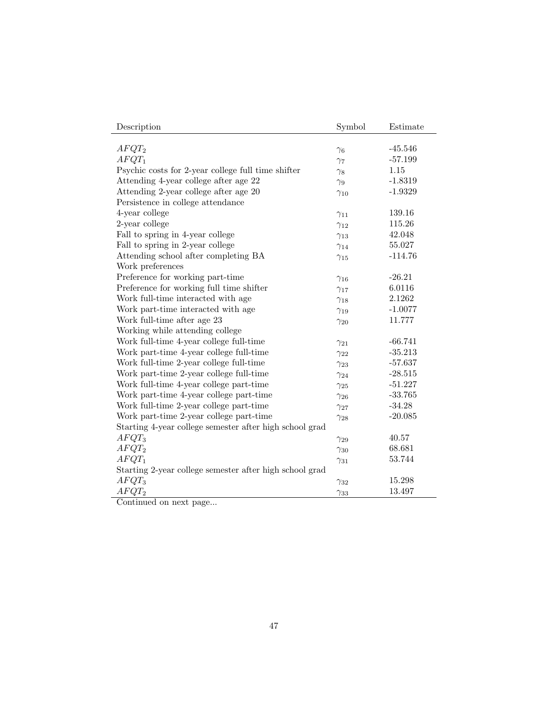| Description                                             | Symbol        | Estimate  |
|---------------------------------------------------------|---------------|-----------|
|                                                         |               |           |
| $AFQT_2$                                                | $\gamma_6$    | $-45.546$ |
| $AFQT_1$                                                | $\gamma_7$    | $-57.199$ |
| Psychic costs for 2-year college full time shifter      | $\gamma_8$    | 1.15      |
| Attending 4-year college after age 22                   | $\gamma_9$    | $-1.8319$ |
| Attending 2-year college after age 20                   | $\gamma_{10}$ | $-1.9329$ |
| Persistence in college attendance                       |               |           |
| 4-year college                                          | $\gamma_{11}$ | 139.16    |
| 2-year college                                          | $\gamma_{12}$ | 115.26    |
| Fall to spring in 4-year college                        | $\gamma_{13}$ | 42.048    |
| Fall to spring in 2-year college                        | $\gamma_{14}$ | 55.027    |
| Attending school after completing BA                    | $\gamma_{15}$ | $-114.76$ |
| Work preferences                                        |               |           |
| Preference for working part-time                        | $\gamma_{16}$ | $-26.21$  |
| Preference for working full time shifter                | $\gamma_{17}$ | 6.0116    |
| Work full-time interacted with age                      | $\gamma_{18}$ | 2.1262    |
| Work part-time interacted with age                      | $\gamma_{19}$ | $-1.0077$ |
| Work full-time after age 23                             | $\gamma_{20}$ | 11.777    |
| Working while attending college                         |               |           |
| Work full-time 4-year college full-time                 | $\gamma_{21}$ | $-66.741$ |
| Work part-time 4-year college full-time                 | $\gamma_{22}$ | $-35.213$ |
| Work full-time 2-year college full-time                 | $\gamma_{23}$ | $-57.637$ |
| Work part-time 2-year college full-time                 | $\gamma_{24}$ | $-28.515$ |
| Work full-time 4-year college part-time                 | $\gamma_{25}$ | $-51.227$ |
| Work part-time 4-year college part-time                 | $\gamma_{26}$ | $-33.765$ |
| Work full-time 2-year college part-time                 | $\gamma_{27}$ | $-34.28$  |
| Work part-time 2-year college part-time                 | $\gamma_{28}$ | $-20.085$ |
| Starting 4-year college semester after high school grad |               |           |
| $AFQT_3$                                                | $\gamma_{29}$ | 40.57     |
| $AFQT_2$                                                | $\gamma_{30}$ | 68.681    |
| $AFQT_1$                                                | $\gamma_{31}$ | 53.744    |
| Starting 2-year college semester after high school grad |               |           |
| $AFQT_3$                                                | $\gamma_{32}$ | 15.298    |
| $AFQT_2$                                                | $\gamma_{33}$ | 13.497    |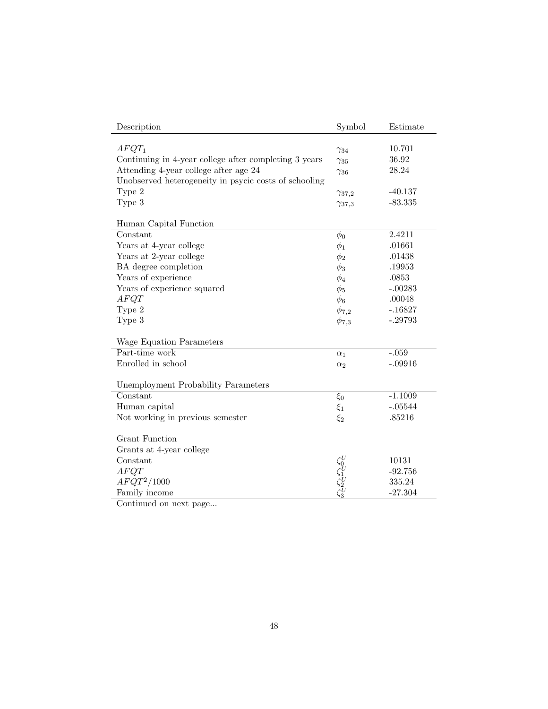| Description                                           | Symbol                                    | Estimate  |
|-------------------------------------------------------|-------------------------------------------|-----------|
|                                                       |                                           |           |
| $AFQT_1$                                              | $\gamma_{34}$                             | 10.701    |
| Continuing in 4-year college after completing 3 years | $\gamma_{35}$                             | 36.92     |
| Attending 4-year college after age 24                 | $\gamma_{36}$                             | 28.24     |
| Unobserved heterogeneity in psycic costs of schooling |                                           |           |
| Type 2                                                | $\gamma_{37,2}$                           | $-40.137$ |
| Type 3                                                | $\gamma_{37,3}$                           | $-83.335$ |
|                                                       |                                           |           |
| Human Capital Function                                |                                           |           |
| Constant                                              | $\phi_0$                                  | 2.4211    |
| Years at 4-year college                               | $\phi_1$                                  | .01661    |
| Years at 2-year college                               | $\phi_2$                                  | .01438    |
| BA degree completion                                  | $\phi_3$                                  | .19953    |
| Years of experience                                   | $\phi_4$                                  | .0853     |
| Years of experience squared                           | $\phi_5$                                  | $-.00283$ |
| AFQT                                                  | $\phi_6$                                  | .00048    |
| Type 2                                                | $\phi_{7,2}$                              | $-.16827$ |
| Type 3                                                | $\phi_{7,3}$                              | $-.29793$ |
|                                                       |                                           |           |
| Wage Equation Parameters                              |                                           |           |
| Part-time work                                        | $\alpha_1$                                | $-.059$   |
| Enrolled in school                                    | $\alpha_2$                                | $-.09916$ |
|                                                       |                                           |           |
| Unemployment Probability Parameters                   |                                           |           |
| Constant                                              | $\xi_0$                                   | $-1.1009$ |
| Human capital                                         | $\xi_1$                                   | $-.05544$ |
| Not working in previous semester                      | $\xi_2$                                   | .85216    |
|                                                       |                                           |           |
| Grant Function                                        |                                           |           |
| Grants at 4-year college                              |                                           |           |
| Constant                                              | $\zeta_0^U \zeta_1^U \zeta_2^U \zeta_3^U$ | 10131     |
| AFQT                                                  |                                           | $-92.756$ |
| $AFQT^2/1000$                                         |                                           | 335.24    |
| Family income                                         |                                           | $-27.304$ |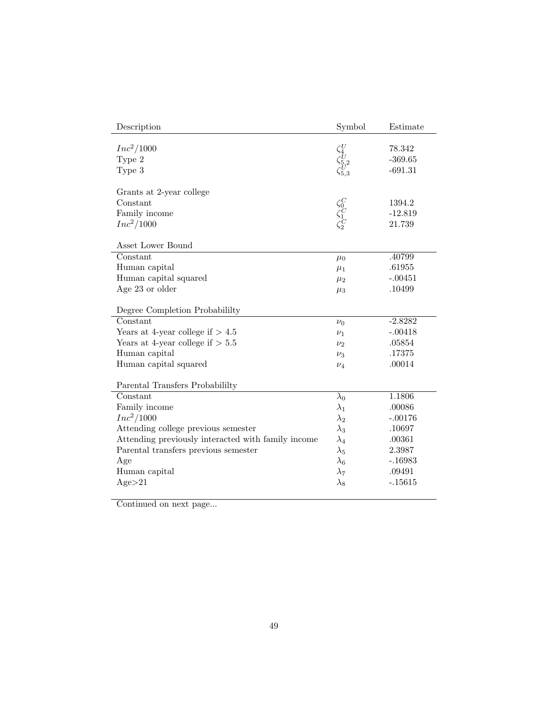| Description                                        | Symbol                                              | Estimate  |
|----------------------------------------------------|-----------------------------------------------------|-----------|
|                                                    |                                                     |           |
| $Inc^2/1000$                                       |                                                     | 78.342    |
| Type 2                                             |                                                     | $-369.65$ |
| Type 3                                             | $\zeta_{4}^{U}\\ \zeta_{5,2}^{U}\\ \zeta_{5,3}^{U}$ | $-691.31$ |
|                                                    |                                                     |           |
| Grants at 2-year college                           |                                                     |           |
| Constant                                           | $\zeta^C_0\\ \zeta^C_1\\ \zeta^C_2$                 | 1394.2    |
| Family income                                      |                                                     | $-12.819$ |
| $Inc^2/1000$                                       |                                                     | 21.739    |
| Asset Lower Bound                                  |                                                     |           |
| Constant                                           | $\mu_0$                                             | .40799    |
| Human capital                                      | $\mu_1$                                             | .61955    |
| Human capital squared                              | $\mu_2$                                             | $-.00451$ |
| Age 23 or older                                    | $\mu_3$                                             | .10499    |
|                                                    |                                                     |           |
| Degree Completion Probabililty                     |                                                     |           |
| Constant                                           | $\nu_0$                                             | $-2.8282$ |
| Years at 4-year college if $> 4.5$                 | $\nu_1$                                             | $-.00418$ |
| Years at 4-year college if $> 5.5$                 | $\nu_2$                                             | .05854    |
| Human capital                                      | $\nu_3$                                             | .17375    |
| Human capital squared                              | $\nu_4$                                             | .00014    |
|                                                    |                                                     |           |
| Parental Transfers Probabililty                    |                                                     |           |
| Constant                                           | $\lambda_0$                                         | 1.1806    |
| Family income                                      | $\lambda_1$                                         | .00086    |
| $Inc^2/1000$                                       | $\lambda_2$                                         | $-.00176$ |
| Attending college previous semester                | $\lambda_3$                                         | .10697    |
| Attending previously interacted with family income | $\lambda_4$                                         | .00361    |
| Parental transfers previous semester               | $\lambda_5$                                         | 2.3987    |
| Age                                                | $\lambda_6$                                         | $-.16983$ |
| Human capital                                      | $\lambda_7$                                         | .09491    |
| Age > 21                                           | $\lambda_8$                                         | $-15615$  |
|                                                    |                                                     |           |